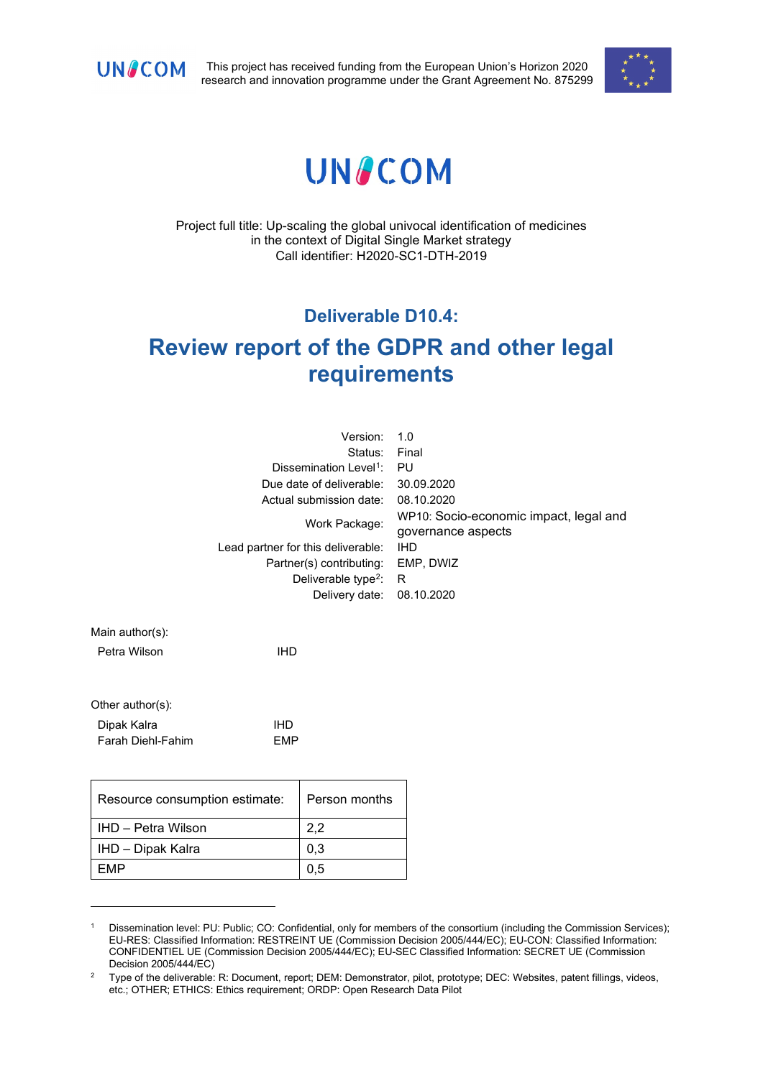

This project has received funding from the European Union's Horizon 2020 research and innovation programme under the Grant Agreement No. 875299



# **UNACOM**

Project full title: Up-scaling the global univocal identification of medicines in the context of Digital Single Market strategy Call identifier: H2020-SC1-DTH-2019

# **Deliverable D10.4:**

# **Review report of the GDPR and other legal requirements**

|                   | Version:                           | 1.0                                                          |
|-------------------|------------------------------------|--------------------------------------------------------------|
|                   | Status:                            | Final                                                        |
|                   | Dissemination Level <sup>1</sup> : | PU                                                           |
|                   | Due date of deliverable:           | 30.09.2020                                                   |
|                   | Actual submission date:            | 08.10.2020                                                   |
|                   | Work Package:                      | WP10: Socio-economic impact, legal and<br>governance aspects |
|                   | Lead partner for this deliverable: | <b>IHD</b>                                                   |
|                   | Partner(s) contributing:           | EMP, DWIZ                                                    |
|                   | Deliverable type <sup>2</sup> :    | R                                                            |
|                   | Delivery date:                     | 08.10.2020                                                   |
|                   |                                    |                                                              |
| Main author(s):   |                                    |                                                              |
| Petra Wilson      | <b>IHD</b>                         |                                                              |
|                   |                                    |                                                              |
|                   |                                    |                                                              |
| Other author(s):  |                                    |                                                              |
| Dipak Kalra       | IHD.                               |                                                              |
| Farah Diehl-Fahim | <b>EMP</b>                         |                                                              |
|                   |                                    |                                                              |
|                   |                                    |                                                              |

| Resource consumption estimate: | Person months |
|--------------------------------|---------------|
| - IHD – Petra Wilson           | 2.2           |
| IHD – Dipak Kalra              | 0.3           |
| <b>FMP</b>                     | 0.5           |

<span id="page-0-0"></span><sup>&</sup>lt;sup>1</sup> Dissemination level: PU: Public; CO: Confidential, only for members of the consortium (including the Commission Services); EU-RES: Classified Information: RESTREINT UE (Commission Decision 2005/444/EC); EU-CON: Classified Information: CONFIDENTIEL UE (Commission Decision 2005/444/EC); EU-SEC Classified Information: SECRET UE (Commission Decision 2005/444/EC)

<span id="page-0-1"></span><sup>&</sup>lt;sup>2</sup> Type of the deliverable: R: Document, report; DEM: Demonstrator, pilot, prototype; DEC: Websites, patent fillings, videos, etc.; OTHER; ETHICS: Ethics requirement; ORDP: Open Research Data Pilot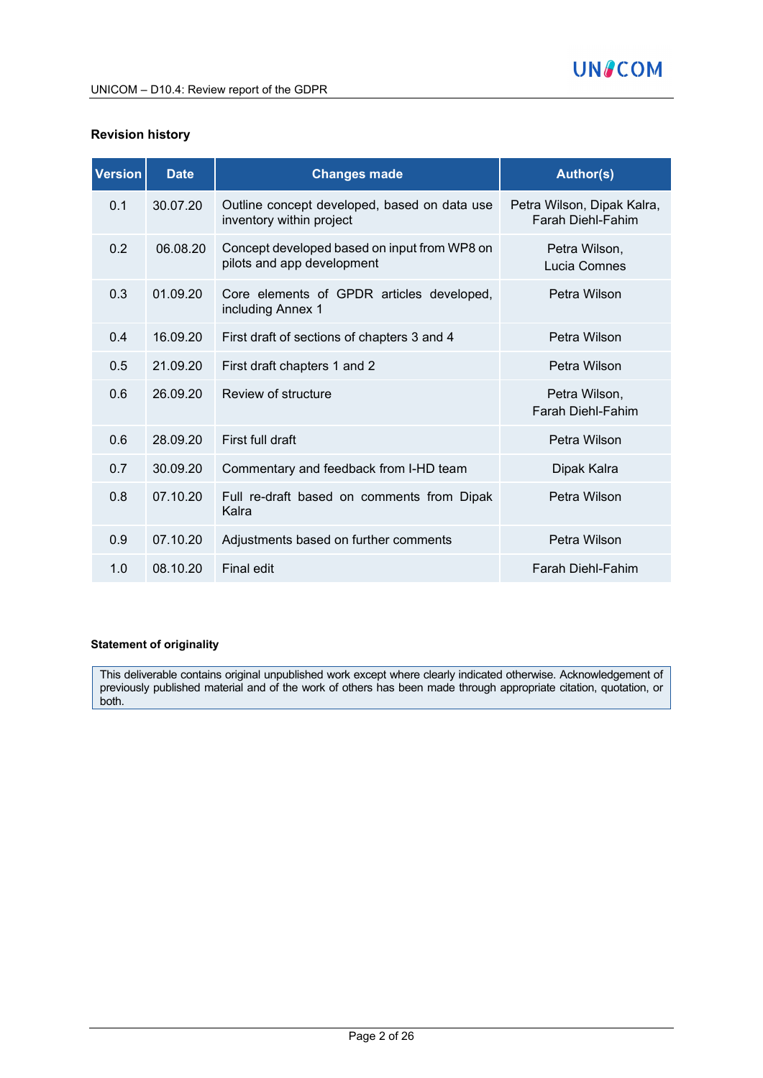#### **Revision history**

| <b>Version</b> | <b>Date</b> | <b>Changes made</b>                                                        | <b>Author(s)</b>                                       |
|----------------|-------------|----------------------------------------------------------------------------|--------------------------------------------------------|
| 0.1            | 30.07.20    | Outline concept developed, based on data use<br>inventory within project   | Petra Wilson, Dipak Kalra,<br><b>Farah Diehl-Fahim</b> |
| 0.2            | 06.08.20    | Concept developed based on input from WP8 on<br>pilots and app development | Petra Wilson,<br>Lucia Comnes                          |
| 0.3            | 01.09.20    | Core elements of GPDR articles developed,<br>including Annex 1             | Petra Wilson                                           |
| 0.4            | 16.09.20    | First draft of sections of chapters 3 and 4                                | Petra Wilson                                           |
| 0.5            | 21.09.20    | First draft chapters 1 and 2                                               | Petra Wilson                                           |
| 0.6            | 26.09.20    | Review of structure                                                        | Petra Wilson,<br><b>Farah Diehl-Fahim</b>              |
| 0.6            | 28.09.20    | First full draft                                                           | Petra Wilson                                           |
| 0.7            | 30.09.20    | Commentary and feedback from I-HD team                                     | Dipak Kalra                                            |
| 0.8            | 07.10.20    | Full re-draft based on comments from Dipak<br>Kalra                        | Petra Wilson                                           |
| 0.9            | 07.10.20    | Adjustments based on further comments                                      | Petra Wilson                                           |
| 1.0            | 08.10.20    | Final edit                                                                 | <b>Farah Diehl-Fahim</b>                               |

#### **Statement of originality**

This deliverable contains original unpublished work except where clearly indicated otherwise. Acknowledgement of previously published material and of the work of others has been made through appropriate citation, quotation, or both.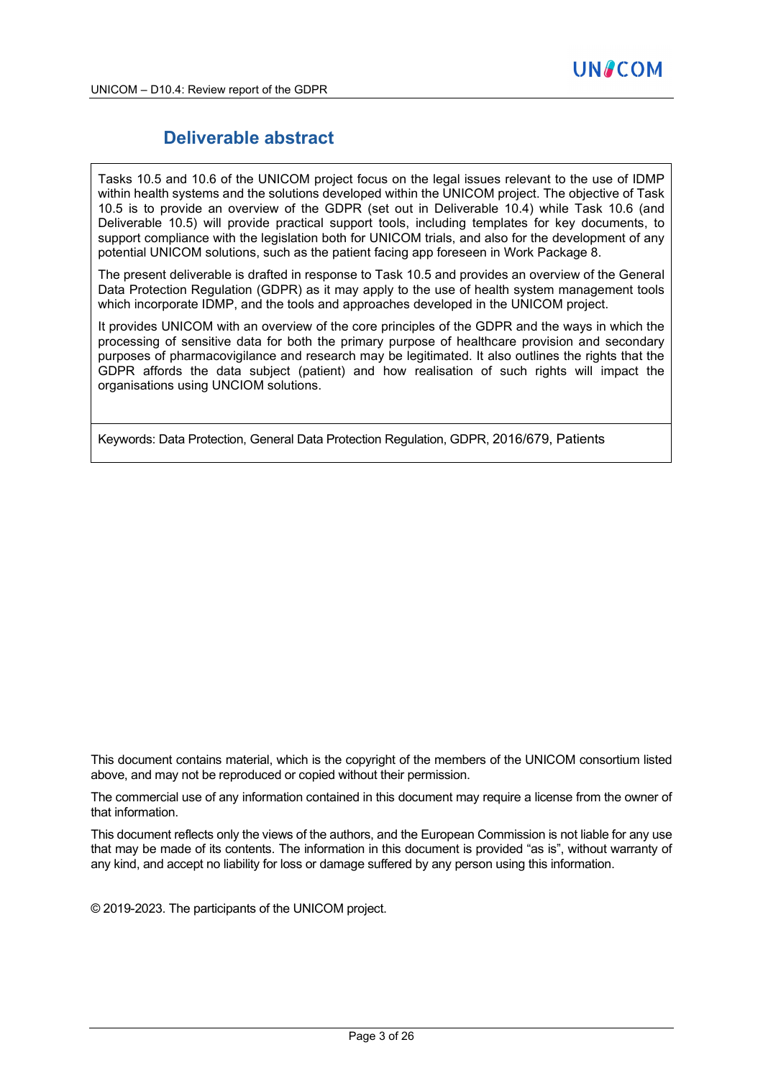## **Deliverable abstract**

Tasks 10.5 and 10.6 of the UNICOM project focus on the legal issues relevant to the use of IDMP within health systems and the solutions developed within the UNICOM project. The objective of Task 10.5 is to provide an overview of the GDPR (set out in Deliverable 10.4) while Task 10.6 (and Deliverable 10.5) will provide practical support tools, including templates for key documents, to support compliance with the legislation both for UNICOM trials, and also for the development of any potential UNICOM solutions, such as the patient facing app foreseen in Work Package 8.

The present deliverable is drafted in response to Task 10.5 and provides an overview of the General Data Protection Regulation (GDPR) as it may apply to the use of health system management tools which incorporate IDMP, and the tools and approaches developed in the UNICOM project.

It provides UNICOM with an overview of the core principles of the GDPR and the ways in which the processing of sensitive data for both the primary purpose of healthcare provision and secondary purposes of pharmacovigilance and research may be legitimated. It also outlines the rights that the GDPR affords the data subject (patient) and how realisation of such rights will impact the organisations using UNCIOM solutions.

Keywords: Data Protection, General Data Protection Regulation, GDPR, 2016/679, Patients

This document contains material, which is the copyright of the members of the UNICOM consortium listed above, and may not be reproduced or copied without their permission.

The commercial use of any information contained in this document may require a license from the owner of that information.

This document reflects only the views of the authors, and the European Commission is not liable for any use that may be made of its contents. The information in this document is provided "as is", without warranty of any kind, and accept no liability for loss or damage suffered by any person using this information.

© 2019-2023. The participants of the UNICOM project.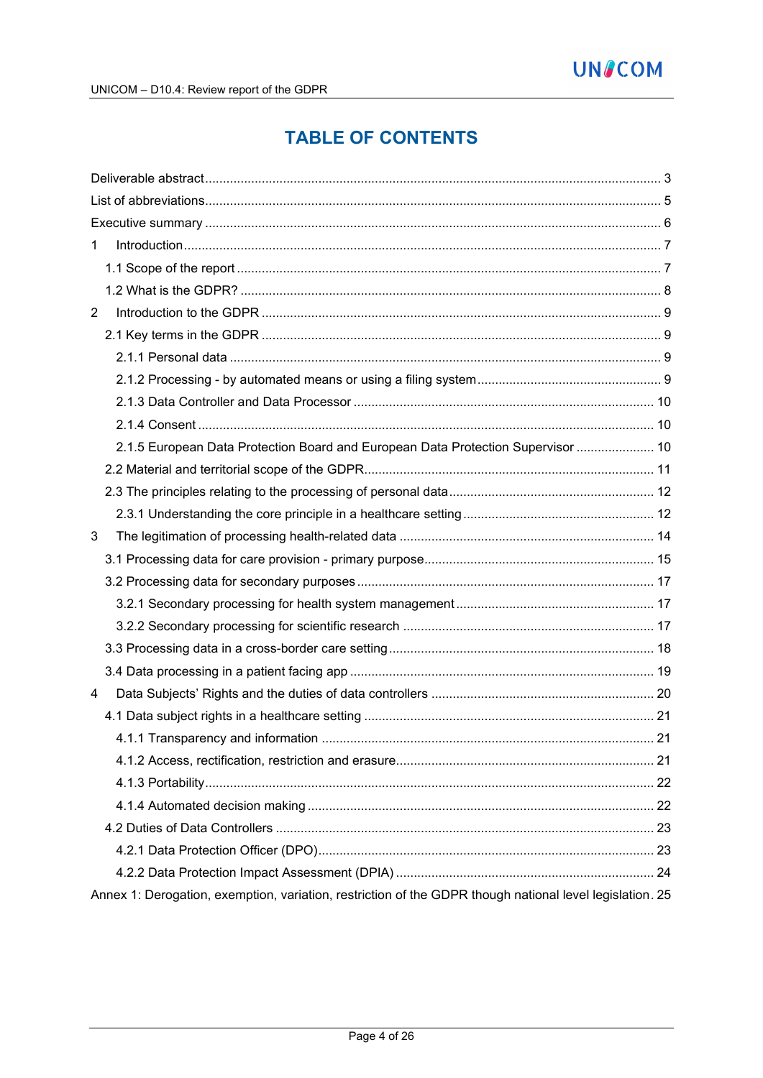# **TABLE OF CONTENTS**

| 1.                                                                                                       |  |  |
|----------------------------------------------------------------------------------------------------------|--|--|
|                                                                                                          |  |  |
|                                                                                                          |  |  |
| $\overline{2}$                                                                                           |  |  |
|                                                                                                          |  |  |
|                                                                                                          |  |  |
|                                                                                                          |  |  |
|                                                                                                          |  |  |
|                                                                                                          |  |  |
| 2.1.5 European Data Protection Board and European Data Protection Supervisor  10                         |  |  |
|                                                                                                          |  |  |
|                                                                                                          |  |  |
|                                                                                                          |  |  |
| 3                                                                                                        |  |  |
|                                                                                                          |  |  |
|                                                                                                          |  |  |
|                                                                                                          |  |  |
|                                                                                                          |  |  |
|                                                                                                          |  |  |
|                                                                                                          |  |  |
| 4                                                                                                        |  |  |
|                                                                                                          |  |  |
|                                                                                                          |  |  |
|                                                                                                          |  |  |
|                                                                                                          |  |  |
|                                                                                                          |  |  |
|                                                                                                          |  |  |
|                                                                                                          |  |  |
|                                                                                                          |  |  |
| Annex 1: Derogation, exemption, variation, restriction of the GDPR though national level legislation. 25 |  |  |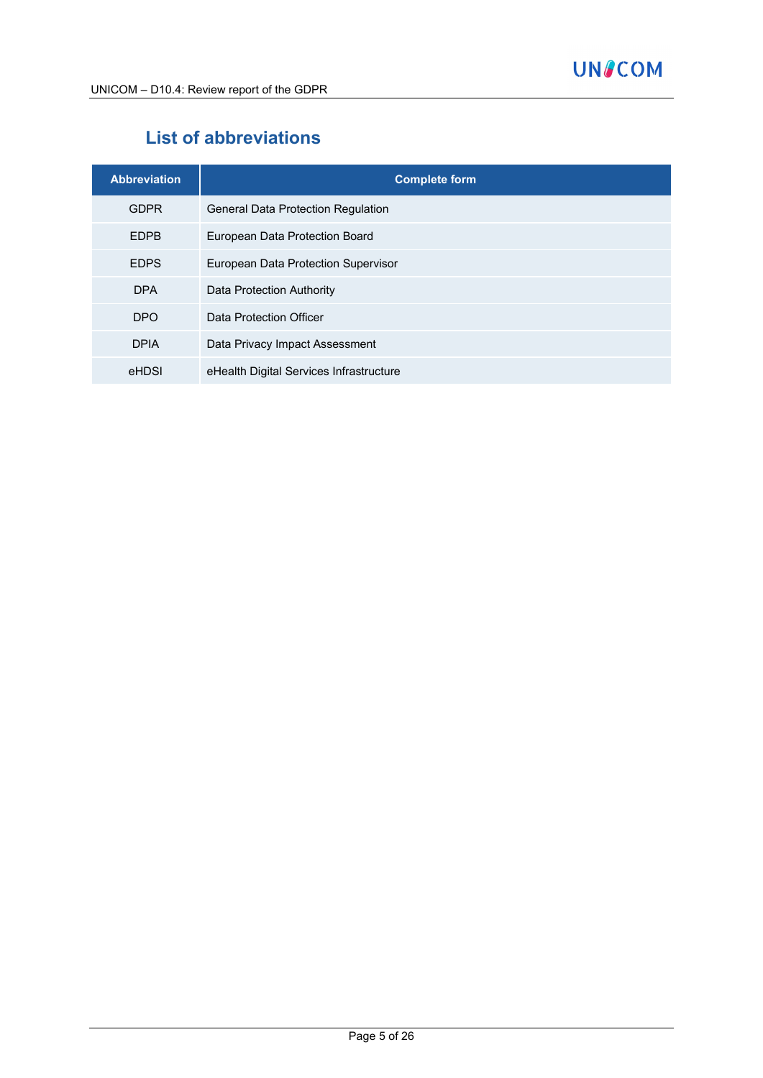# **List of abbreviations**

| <b>Abbreviation</b> | <b>Complete form</b>                      |
|---------------------|-------------------------------------------|
| <b>GDPR</b>         | <b>General Data Protection Regulation</b> |
| <b>EDPB</b>         | European Data Protection Board            |
| <b>EDPS</b>         | European Data Protection Supervisor       |
| <b>DPA</b>          | Data Protection Authority                 |
| <b>DPO</b>          | Data Protection Officer                   |
| <b>DPIA</b>         | Data Privacy Impact Assessment            |
| eHDSI               | eHealth Digital Services Infrastructure   |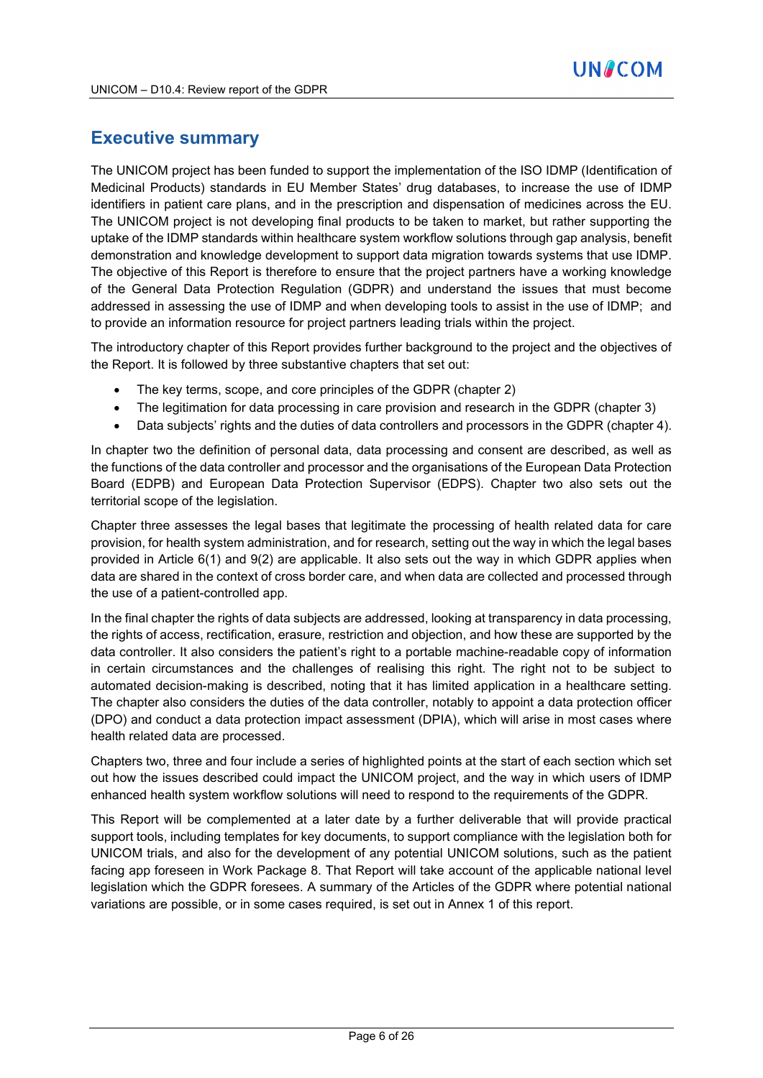## **Executive summary**

The UNICOM project has been funded to support the implementation of the ISO IDMP (Identification of Medicinal Products) standards in EU Member States' drug databases, to increase the use of IDMP identifiers in patient care plans, and in the prescription and dispensation of medicines across the EU. The UNICOM project is not developing final products to be taken to market, but rather supporting the uptake of the IDMP standards within healthcare system workflow solutions through gap analysis, benefit demonstration and knowledge development to support data migration towards systems that use IDMP. The objective of this Report is therefore to ensure that the project partners have a working knowledge of the General Data Protection Regulation (GDPR) and understand the issues that must become addressed in assessing the use of IDMP and when developing tools to assist in the use of IDMP; and to provide an information resource for project partners leading trials within the project.

The introductory chapter of this Report provides further background to the project and the objectives of the Report. It is followed by three substantive chapters that set out:

- The key terms, scope, and core principles of the GDPR (chapter 2)
- The legitimation for data processing in care provision and research in the GDPR (chapter 3)
- Data subjects' rights and the duties of data controllers and processors in the GDPR (chapter 4).

In chapter two the definition of personal data, data processing and consent are described, as well as the functions of the data controller and processor and the organisations of the European Data Protection Board (EDPB) and European Data Protection Supervisor (EDPS). Chapter two also sets out the territorial scope of the legislation.

Chapter three assesses the legal bases that legitimate the processing of health related data for care provision, for health system administration, and for research, setting out the way in which the legal bases provided in Article 6(1) and 9(2) are applicable. It also sets out the way in which GDPR applies when data are shared in the context of cross border care, and when data are collected and processed through the use of a patient-controlled app.

In the final chapter the rights of data subjects are addressed, looking at transparency in data processing, the rights of access, rectification, erasure, restriction and objection, and how these are supported by the data controller. It also considers the patient's right to a portable machine-readable copy of information in certain circumstances and the challenges of realising this right. The right not to be subject to automated decision-making is described, noting that it has limited application in a healthcare setting. The chapter also considers the duties of the data controller, notably to appoint a data protection officer (DPO) and conduct a data protection impact assessment (DPIA), which will arise in most cases where health related data are processed.

Chapters two, three and four include a series of highlighted points at the start of each section which set out how the issues described could impact the UNICOM project, and the way in which users of IDMP enhanced health system workflow solutions will need to respond to the requirements of the GDPR.

This Report will be complemented at a later date by a further deliverable that will provide practical support tools, including templates for key documents, to support compliance with the legislation both for UNICOM trials, and also for the development of any potential UNICOM solutions, such as the patient facing app foreseen in Work Package 8. That Report will take account of the applicable national level legislation which the GDPR foresees. A summary of the Articles of the GDPR where potential national variations are possible, or in some cases required, is set out in Annex 1 of this report.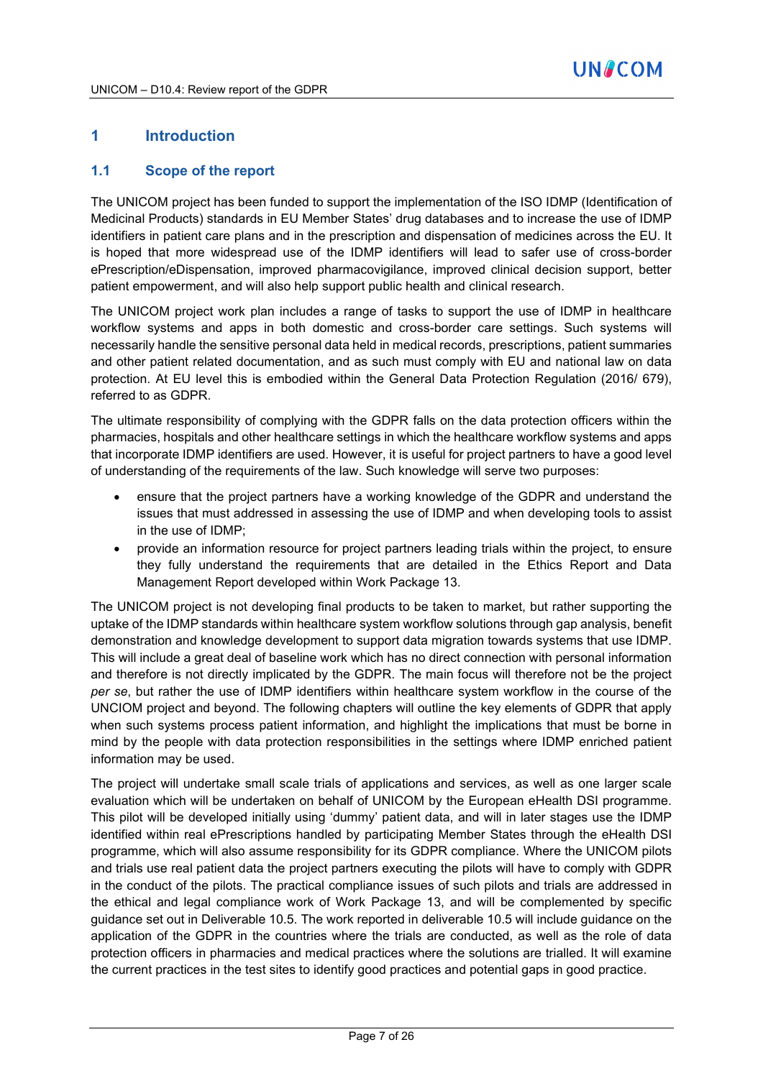#### **1 Introduction**

#### **1.1 Scope of the report**

The UNICOM project has been funded to support the implementation of the ISO IDMP (Identification of Medicinal Products) standards in EU Member States' drug databases and to increase the use of IDMP identifiers in patient care plans and in the prescription and dispensation of medicines across the EU. It is hoped that more widespread use of the IDMP identifiers will lead to safer use of cross-border ePrescription/eDispensation, improved pharmacovigilance, improved clinical decision support, better patient empowerment, and will also help support public health and clinical research.

The UNICOM project work plan includes a range of tasks to support the use of IDMP in healthcare workflow systems and apps in both domestic and cross-border care settings. Such systems will necessarily handle the sensitive personal data held in medical records, prescriptions, patient summaries and other patient related documentation, and as such must comply with EU and national law on data protection. At EU level this is embodied within the General Data Protection Regulation (2016/ 679), referred to as GDPR.

The ultimate responsibility of complying with the GDPR falls on the data protection officers within the pharmacies, hospitals and other healthcare settings in which the healthcare workflow systems and apps that incorporate IDMP identifiers are used. However, it is useful for project partners to have a good level of understanding of the requirements of the law. Such knowledge will serve two purposes:

- ensure that the project partners have a working knowledge of the GDPR and understand the issues that must addressed in assessing the use of IDMP and when developing tools to assist in the use of IDMP;
- provide an information resource for project partners leading trials within the project, to ensure they fully understand the requirements that are detailed in the Ethics Report and Data Management Report developed within Work Package 13.

The UNICOM project is not developing final products to be taken to market, but rather supporting the uptake of the IDMP standards within healthcare system workflow solutions through gap analysis, benefit demonstration and knowledge development to support data migration towards systems that use IDMP. This will include a great deal of baseline work which has no direct connection with personal information and therefore is not directly implicated by the GDPR. The main focus will therefore not be the project *per se*, but rather the use of IDMP identifiers within healthcare system workflow in the course of the UNCIOM project and beyond. The following chapters will outline the key elements of GDPR that apply when such systems process patient information, and highlight the implications that must be borne in mind by the people with data protection responsibilities in the settings where IDMP enriched patient information may be used.

The project will undertake small scale trials of applications and services, as well as one larger scale evaluation which will be undertaken on behalf of UNICOM by the European eHealth DSI programme. This pilot will be developed initially using 'dummy' patient data, and will in later stages use the IDMP identified within real ePrescriptions handled by participating Member States through the eHealth DSI programme, which will also assume responsibility for its GDPR compliance. Where the UNICOM pilots and trials use real patient data the project partners executing the pilots will have to comply with GDPR in the conduct of the pilots. The practical compliance issues of such pilots and trials are addressed in the ethical and legal compliance work of Work Package 13, and will be complemented by specific guidance set out in Deliverable 10.5. The work reported in deliverable 10.5 will include guidance on the application of the GDPR in the countries where the trials are conducted, as well as the role of data protection officers in pharmacies and medical practices where the solutions are trialled. It will examine the current practices in the test sites to identify good practices and potential gaps in good practice.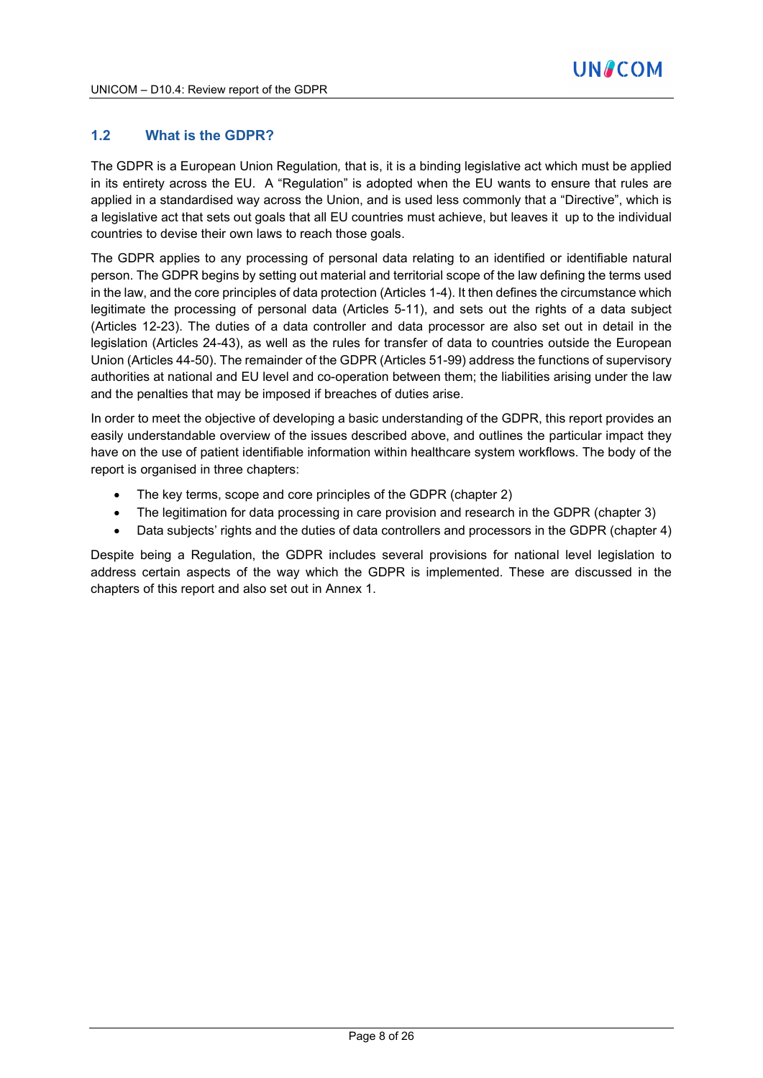#### **1.2 What is the GDPR?**

The GDPR is a European Union Regulation*,* that is, it is a binding legislative act which must be applied in its entirety across the EU. A "Regulation" is adopted when the EU wants to ensure that rules are applied in a standardised way across the Union, and is used less commonly that a "Directive", which is a legislative act that sets out goals that all EU countries must achieve, but leaves it up to the individual countries to devise their own laws to reach those goals.

The GDPR applies to any processing of personal data relating to an identified or identifiable natural person. The GDPR begins by setting out material and territorial scope of the law defining the terms used in the law, and the core principles of data protection (Articles 1-4). It then defines the circumstance which legitimate the processing of personal data (Articles 5-11), and sets out the rights of a data subject (Articles 12-23). The duties of a data controller and data processor are also set out in detail in the legislation (Articles 24-43), as well as the rules for transfer of data to countries outside the European Union (Articles 44-50). The remainder of the GDPR (Articles 51-99) address the functions of supervisory authorities at national and EU level and co-operation between them; the liabilities arising under the law and the penalties that may be imposed if breaches of duties arise.

In order to meet the objective of developing a basic understanding of the GDPR, this report provides an easily understandable overview of the issues described above, and outlines the particular impact they have on the use of patient identifiable information within healthcare system workflows. The body of the report is organised in three chapters:

- The key terms, scope and core principles of the GDPR (chapter 2)
- The legitimation for data processing in care provision and research in the GDPR (chapter 3)
- Data subjects' rights and the duties of data controllers and processors in the GDPR (chapter 4)

Despite being a Regulation, the GDPR includes several provisions for national level legislation to address certain aspects of the way which the GDPR is implemented. These are discussed in the chapters of this report and also set out in Annex 1.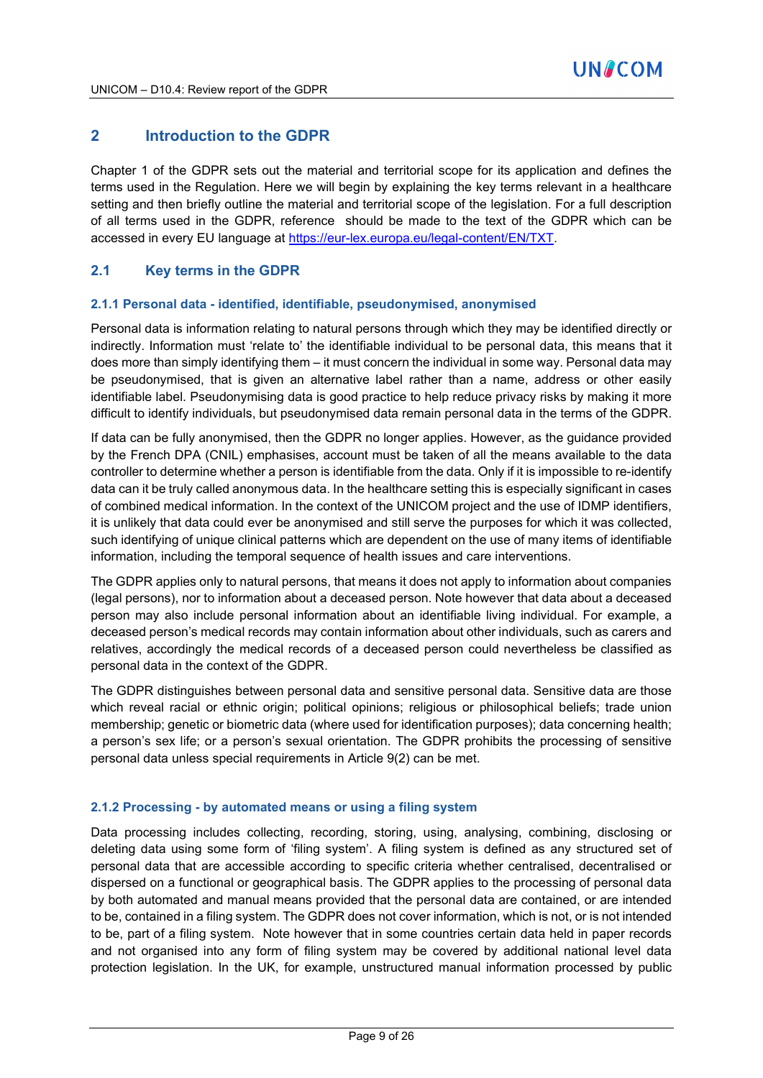#### **2 Introduction to the GDPR**

Chapter 1 of the GDPR sets out the material and territorial scope for its application and defines the terms used in the Regulation. Here we will begin by explaining the key terms relevant in a healthcare setting and then briefly outline the material and territorial scope of the legislation. For a full description of all terms used in the GDPR, reference should be made to the text of the GDPR which can be accessed in every EU language at [https://eur-lex.europa.eu/legal-content/EN/TXT.](https://eur-lex.europa.eu/legal-content/EN/TXT)

#### **2.1 Key terms in the GDPR**

#### **2.1.1 Personal data - identified, identifiable, pseudonymised, anonymised**

Personal data is information relating to natural persons through which they may be identified directly or indirectly. Information must 'relate to' the identifiable individual to be personal data, this means that it does more than simply identifying them – it must concern the individual in some way. Personal data may be pseudonymised, that is given an alternative label rather than a name, address or other easily identifiable label. Pseudonymising data is good practice to help reduce privacy risks by making it more difficult to identify individuals, but pseudonymised data remain personal data in the terms of the GDPR.

If data can be fully anonymised, then the GDPR no longer applies. However, as the guidance provided by the French DPA (CNIL) emphasises, account must be taken of all the means available to the data controller to determine whether a person is identifiable from the data. Only if it is impossible to re-identify data can it be truly called anonymous data. In the healthcare setting this is especially significant in cases of combined medical information. In the context of the UNICOM project and the use of IDMP identifiers, it is unlikely that data could ever be anonymised and still serve the purposes for which it was collected, such identifying of unique clinical patterns which are dependent on the use of many items of identifiable information, including the temporal sequence of health issues and care interventions.

The GDPR applies only to natural persons, that means it does not apply to information about companies (legal persons), nor to information about a deceased person. Note however that data about a deceased person may also include personal information about an identifiable living individual. For example, a deceased person's medical records may contain information about other individuals, such as carers and relatives, accordingly the medical records of a deceased person could nevertheless be classified as personal data in the context of the GDPR.

The GDPR distinguishes between personal data and sensitive personal data. Sensitive data are those which reveal racial or ethnic origin; political opinions; religious or philosophical beliefs; trade union membership; genetic or biometric data (where used for identification purposes); data concerning health; a person's sex life; or a person's sexual orientation. The GDPR prohibits the processing of sensitive personal data unless special requirements in Article 9(2) can be met.

#### **2.1.2 Processing - by automated means or using a filing system**

Data processing includes collecting, recording, storing, using, analysing, combining, disclosing or deleting data using some form of 'filing system'. A filing system is defined as any structured set of personal data that are accessible according to specific criteria whether centralised, decentralised or dispersed on a functional or geographical basis. The GDPR applies to the processing of personal data by both automated and manual means provided that the personal data are contained, or are intended to be, contained in a filing system. The GDPR does not cover information, which is not, or is not intended to be, part of a filing system. Note however that in some countries certain data held in paper records and not organised into any form of filing system may be covered by additional national level data protection legislation. In the UK, for example, unstructured manual information processed by public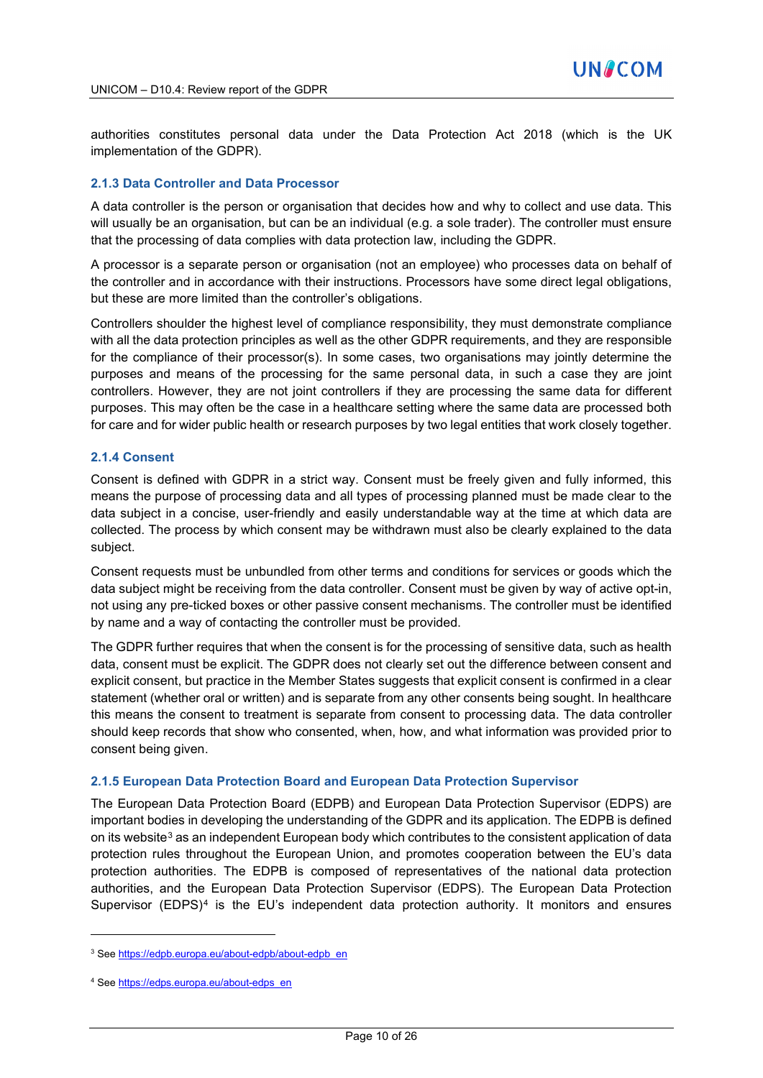authorities constitutes personal data under the Data Protection Act 2018 (which is the UK implementation of the GDPR).

#### **2.1.3 Data Controller and Data Processor**

A data controller is the person or organisation that decides how and why to collect and use data. This will usually be an organisation, but can be an individual (e.g. a sole trader). The controller must ensure that the processing of data complies with data protection law, including the GDPR.

A processor is a separate person or organisation (not an employee) who processes data on behalf of the controller and in accordance with their instructions. Processors have some direct legal obligations, but these are more limited than the controller's obligations.

Controllers shoulder the highest level of compliance responsibility, they must demonstrate compliance with all the data protection principles as well as the other GDPR requirements, and they are responsible for the compliance of their processor(s). In some cases, two organisations may jointly determine the purposes and means of the processing for the same personal data, in such a case they are joint controllers. However, they are not joint controllers if they are processing the same data for different purposes. This may often be the case in a healthcare setting where the same data are processed both for care and for wider public health or research purposes by two legal entities that work closely together.

#### **2.1.4 Consent**

Consent is defined with GDPR in a strict way. Consent must be freely given and fully informed, this means the purpose of processing data and all types of processing planned must be made clear to the data subject in a concise, user-friendly and easily understandable way at the time at which data are collected. The process by which consent may be withdrawn must also be clearly explained to the data subject.

Consent requests must be unbundled from other terms and conditions for services or goods which the data subject might be receiving from the data controller. Consent must be given by way of active opt-in, not using any pre-ticked boxes or other passive consent mechanisms. The controller must be identified by name and a way of contacting the controller must be provided.

The GDPR further requires that when the consent is for the processing of sensitive data, such as health data, consent must be explicit. The GDPR does not clearly set out the difference between consent and explicit consent, but practice in the Member States suggests that explicit consent is confirmed in a clear statement (whether oral or written) and is separate from any other consents being sought. In healthcare this means the consent to treatment is separate from consent to processing data. The data controller should keep records that show who consented, when, how, and what information was provided prior to consent being given.

#### **2.1.5 European Data Protection Board and European Data Protection Supervisor**

The European Data Protection Board (EDPB) and European Data Protection Supervisor (EDPS) are important bodies in developing the understanding of the GDPR and its application. The EDPB is defined on its website<sup>[3](#page-9-0)</sup> as an independent European body which contributes to the consistent application of data protection rules throughout the European Union, and promotes cooperation between the EU's data protection authorities. The EDPB is composed of representatives of the national data protection authorities, and the European Data Protection Supervisor (EDPS). The European Data Protection Supervisor (EDPS)<sup>[4](#page-9-1)</sup> is the EU's independent data protection authority. It monitors and ensures

<span id="page-9-0"></span><sup>&</sup>lt;sup>3</sup> Se[e https://edpb.europa.eu/about-edpb/about-edpb\\_en](https://edpb.europa.eu/about-edpb/about-edpb_en)

<span id="page-9-1"></span><sup>4</sup> Se[e https://edps.europa.eu/about-edps\\_en](https://edps.europa.eu/about-edps_en)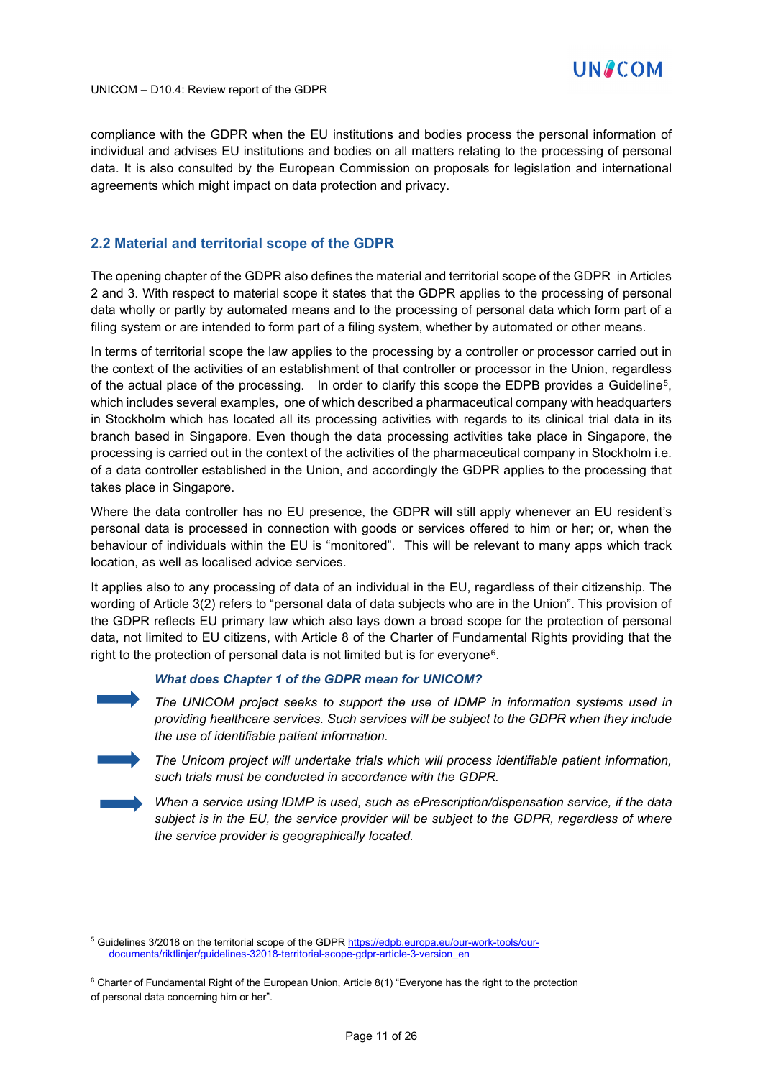compliance with the GDPR when the EU institutions and bodies process the personal information of individual and advises EU institutions and bodies on all matters relating to the processing of personal data. It is also consulted by the European Commission on proposals for legislation and international agreements which might impact on data protection and privacy.

#### **2.2 Material and territorial scope of the GDPR**

The opening chapter of the GDPR also defines the material and territorial scope of the GDPR in Articles 2 and 3. With respect to material scope it states that the GDPR applies to the processing of personal data wholly or partly by automated means and to the processing of personal data which form part of a filing system or are intended to form part of a filing system, whether by automated or other means.

In terms of territorial scope the law applies to the processing by a controller or processor carried out in the context of the activities of an establishment of that controller or processor in the Union, regardless of the actual place of the processing. In order to clarify this scope the EDPB provides a Guideline<sup>5</sup>, which includes several examples, one of which described a pharmaceutical company with headquarters in Stockholm which has located all its processing activities with regards to its clinical trial data in its branch based in Singapore. Even though the data processing activities take place in Singapore, the processing is carried out in the context of the activities of the pharmaceutical company in Stockholm i.e. of a data controller established in the Union, and accordingly the GDPR applies to the processing that takes place in Singapore.

Where the data controller has no EU presence, the GDPR will still apply whenever an EU resident's personal data is processed in connection with goods or services offered to him or her; or, when the behaviour of individuals within the EU is "monitored". This will be relevant to many apps which track location, as well as localised advice services.

It applies also to any processing of data of an individual in the EU, regardless of their citizenship. The wording of Article 3(2) refers to "personal data of data subjects who are in the Union". This provision of the GDPR reflects EU primary law which also lays down a broad scope for the protection of personal data, not limited to EU citizens, with Article 8 of the Charter of Fundamental Rights providing that the right to the protection of personal data is not limited but is for everyone<sup>6</sup>.

#### *What does Chapter 1 of the GDPR mean for UNICOM?*

*The UNICOM project seeks to support the use of IDMP in information systems used in providing healthcare services. Such services will be subject to the GDPR when they include the use of identifiable patient information.*



*The Unicom project will undertake trials which will process identifiable patient information, such trials must be conducted in accordance with the GDPR.*

*When a service using IDMP is used, such as ePrescription/dispensation service, if the data subject is in the EU, the service provider will be subject to the GDPR, regardless of where the service provider is geographically located.*

<span id="page-10-0"></span><sup>5</sup> Guidelines 3/2018 on the territorial scope of the GDP[R https://edpb.europa.eu/our-work-tools/our](https://edpb.europa.eu/our-work-tools/our-documents/riktlinjer/guidelines-32018-territorial-scope-gdpr-article-3-version_en)[documents/riktlinjer/guidelines-32018-territorial-scope-gdpr-article-3-version\\_en](https://edpb.europa.eu/our-work-tools/our-documents/riktlinjer/guidelines-32018-territorial-scope-gdpr-article-3-version_en)

<span id="page-10-1"></span> $6$  Charter of Fundamental Right of the European Union, Article 8(1) "Everyone has the right to the protection of personal data concerning him or her".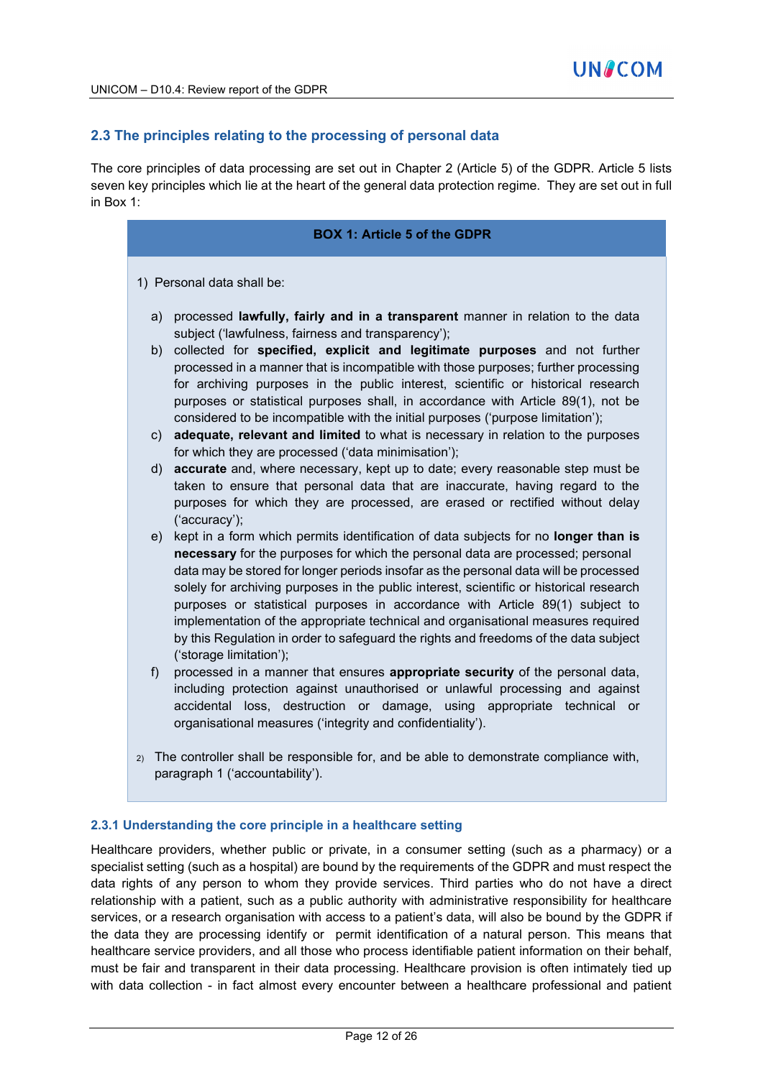#### **2.3 The principles relating to the processing of personal data**

The core principles of data processing are set out in Chapter 2 (Article 5) of the GDPR. Article 5 lists seven key principles which lie at the heart of the general data protection regime. They are set out in full in Box 1:

| <b>BOX 1: Article 5 of the GDPR</b>                                                  |                                                                                                                                                                                                                                                     |  |  |
|--------------------------------------------------------------------------------------|-----------------------------------------------------------------------------------------------------------------------------------------------------------------------------------------------------------------------------------------------------|--|--|
|                                                                                      |                                                                                                                                                                                                                                                     |  |  |
|                                                                                      | 1) Personal data shall be:                                                                                                                                                                                                                          |  |  |
|                                                                                      |                                                                                                                                                                                                                                                     |  |  |
| a)                                                                                   | processed lawfully, fairly and in a transparent manner in relation to the data<br>subject ('lawfulness, fairness and transparency');                                                                                                                |  |  |
| b)                                                                                   | collected for specified, explicit and legitimate purposes and not further<br>processed in a manner that is incompatible with those purposes; further processing<br>for archiving purposes in the public interest, scientific or historical research |  |  |
|                                                                                      | purposes or statistical purposes shall, in accordance with Article 89(1), not be<br>considered to be incompatible with the initial purposes ('purpose limitation');                                                                                 |  |  |
| $\mathsf{C}$ )                                                                       | adequate, relevant and limited to what is necessary in relation to the purposes                                                                                                                                                                     |  |  |
|                                                                                      | for which they are processed ('data minimisation');<br>accurate and, where necessary, kept up to date; every reasonable step must be                                                                                                                |  |  |
| d)                                                                                   | taken to ensure that personal data that are inaccurate, having regard to the                                                                                                                                                                        |  |  |
|                                                                                      | purposes for which they are processed, are erased or rectified without delay                                                                                                                                                                        |  |  |
|                                                                                      | ('accuracy');                                                                                                                                                                                                                                       |  |  |
| e)                                                                                   | kept in a form which permits identification of data subjects for no longer than is                                                                                                                                                                  |  |  |
|                                                                                      | necessary for the purposes for which the personal data are processed; personal                                                                                                                                                                      |  |  |
|                                                                                      | data may be stored for longer periods insofar as the personal data will be processed                                                                                                                                                                |  |  |
|                                                                                      | solely for archiving purposes in the public interest, scientific or historical research                                                                                                                                                             |  |  |
|                                                                                      | purposes or statistical purposes in accordance with Article 89(1) subject to                                                                                                                                                                        |  |  |
|                                                                                      | implementation of the appropriate technical and organisational measures required                                                                                                                                                                    |  |  |
| by this Regulation in order to safeguard the rights and freedoms of the data subject |                                                                                                                                                                                                                                                     |  |  |
|                                                                                      | ('storage limitation');                                                                                                                                                                                                                             |  |  |
| f)                                                                                   | processed in a manner that ensures appropriate security of the personal data,                                                                                                                                                                       |  |  |
|                                                                                      | including protection against unauthorised or unlawful processing and against<br>accidental loss, destruction or damage, using appropriate technical                                                                                                 |  |  |
|                                                                                      | or<br>organisational measures ('integrity and confidentiality').                                                                                                                                                                                    |  |  |

2) The controller shall be responsible for, and be able to demonstrate compliance with, paragraph 1 ('accountability').

#### **2.3.1 Understanding the core principle in a healthcare setting**

Healthcare providers, whether public or private, in a consumer setting (such as a pharmacy) or a specialist setting (such as a hospital) are bound by the requirements of the GDPR and must respect the data rights of any person to whom they provide services. Third parties who do not have a direct relationship with a patient, such as a public authority with administrative responsibility for healthcare services, or a research organisation with access to a patient's data, will also be bound by the GDPR if the data they are processing identify or permit identification of a natural person. This means that healthcare service providers, and all those who process identifiable patient information on their behalf, must be fair and transparent in their data processing. Healthcare provision is often intimately tied up with data collection - in fact almost every encounter between a healthcare professional and patient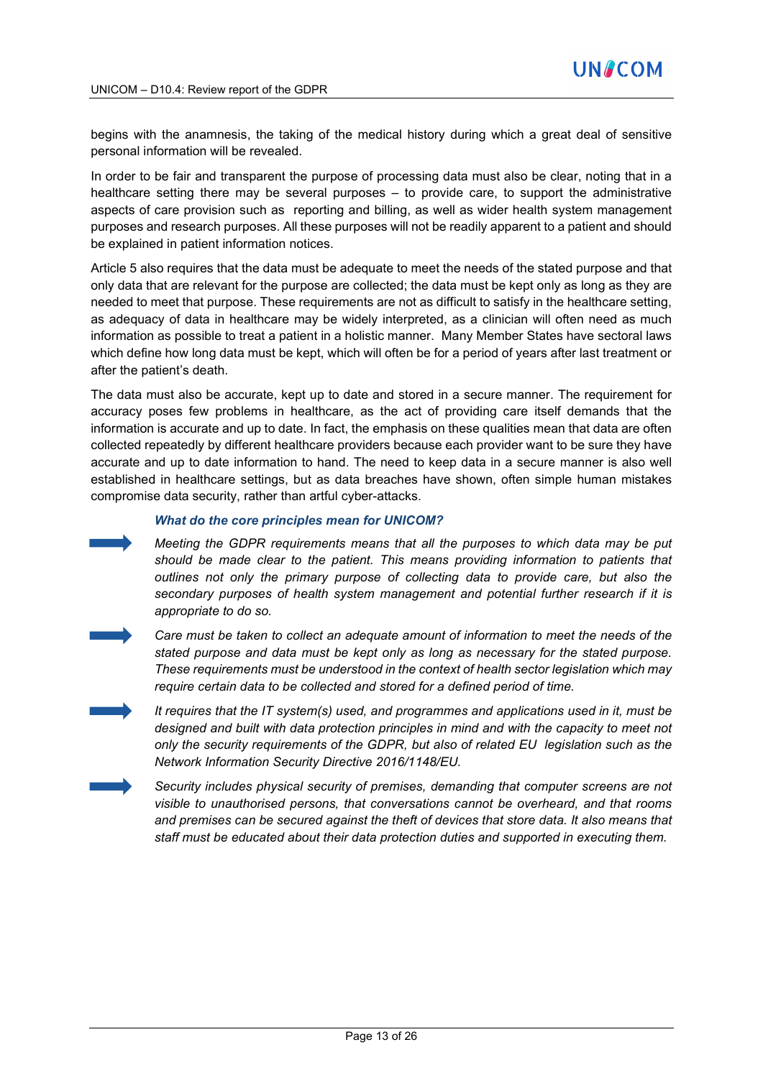begins with the anamnesis, the taking of the medical history during which a great deal of sensitive personal information will be revealed.

In order to be fair and transparent the purpose of processing data must also be clear, noting that in a healthcare setting there may be several purposes – to provide care, to support the administrative aspects of care provision such as reporting and billing, as well as wider health system management purposes and research purposes. All these purposes will not be readily apparent to a patient and should be explained in patient information notices.

Article 5 also requires that the data must be adequate to meet the needs of the stated purpose and that only data that are relevant for the purpose are collected; the data must be kept only as long as they are needed to meet that purpose. These requirements are not as difficult to satisfy in the healthcare setting, as adequacy of data in healthcare may be widely interpreted, as a clinician will often need as much information as possible to treat a patient in a holistic manner. Many Member States have sectoral laws which define how long data must be kept, which will often be for a period of years after last treatment or after the patient's death.

The data must also be accurate, kept up to date and stored in a secure manner. The requirement for accuracy poses few problems in healthcare, as the act of providing care itself demands that the information is accurate and up to date. In fact, the emphasis on these qualities mean that data are often collected repeatedly by different healthcare providers because each provider want to be sure they have accurate and up to date information to hand. The need to keep data in a secure manner is also well established in healthcare settings, but as data breaches have shown, often simple human mistakes compromise data security, rather than artful cyber-attacks.

#### *What do the core principles mean for UNICOM?*

- *Meeting the GDPR requirements means that all the purposes to which data may be put should be made clear to the patient. This means providing information to patients that outlines not only the primary purpose of collecting data to provide care, but also the secondary purposes of health system management and potential further research if it is appropriate to do so.*
- *Care must be taken to collect an adequate amount of information to meet the needs of the stated purpose and data must be kept only as long as necessary for the stated purpose. These requirements must be understood in the context of health sector legislation which may require certain data to be collected and stored for a defined period of time.*

*It requires that the IT system(s) used, and programmes and applications used in it, must be*  designed and built with data protection principles in mind and with the capacity to meet not *only the security requirements of the GDPR, but also of related EU legislation such as the Network Information Security Directive 2016/1148/EU.*

*Security includes physical security of premises, demanding that computer screens are not visible to unauthorised persons, that conversations cannot be overheard, and that rooms and premises can be secured against the theft of devices that store data. It also means that staff must be educated about their data protection duties and supported in executing them.*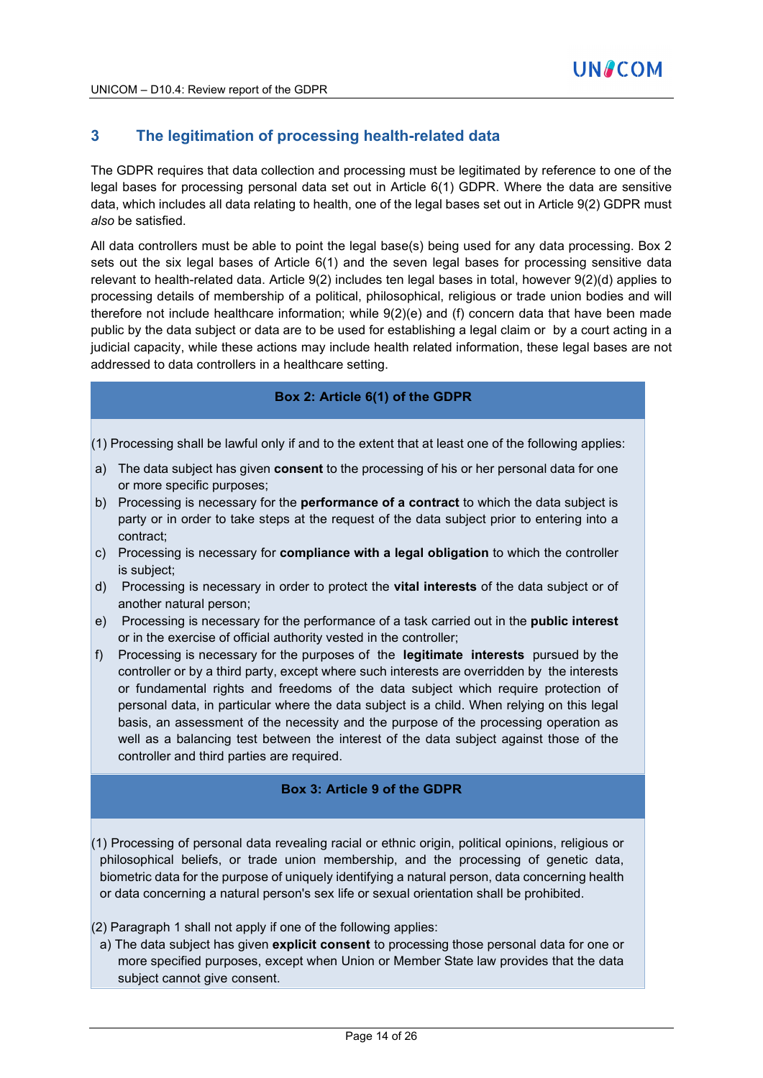#### **3 The legitimation of processing health-related data**

The GDPR requires that data collection and processing must be legitimated by reference to one of the legal bases for processing personal data set out in Article 6(1) GDPR. Where the data are sensitive data, which includes all data relating to health, one of the legal bases set out in Article 9(2) GDPR must *also* be satisfied.

All data controllers must be able to point the legal base(s) being used for any data processing. Box 2 sets out the six legal bases of Article 6(1) and the seven legal bases for processing sensitive data relevant to health-related data. Article 9(2) includes ten legal bases in total, however 9(2)(d) applies to processing details of membership of a political, philosophical, religious or trade union bodies and will therefore not include healthcare information; while 9(2)(e) and (f) concern data that have been made public by the data subject or data are to be used for establishing a legal claim or by a court acting in a judicial capacity, while these actions may include health related information, these legal bases are not addressed to data controllers in a healthcare setting.

#### **Box 2: Article 6(1) of the GDPR**

(1) Processing shall be lawful only if and to the extent that at least one of the following applies:

- a) The data subject has given **consent** to the processing of his or her personal data for one or more specific purposes;
- b) Processing is necessary for the **performance of a contract** to which the data subject is party or in order to take steps at the request of the data subject prior to entering into a contract;
- c) Processing is necessary for **compliance with a legal obligation** to which the controller is subject;
- d) Processing is necessary in order to protect the **vital interests** of the data subject or of another natural person;
- e) Processing is necessary for the performance of a task carried out in the **public interest** or in the exercise of official authority vested in the controller;
- f) Processing is necessary for the purposes of the **legitimate interests** pursued by the controller or by a third party, except where such interests are overridden by the interests or fundamental rights and freedoms of the data subject which require protection of personal data, in particular where the data subject is a child. When relying on this legal basis, an assessment of the necessity and the purpose of the processing operation as well as a balancing test between the interest of the data subject against those of the controller and third parties are required.

#### **Box 3: Article 9 of the GDPR**

(1) Processing of personal data revealing racial or ethnic origin, political opinions, religious or philosophical beliefs, or trade union membership, and the processing of genetic data, biometric data for the purpose of uniquely identifying a natural person, data concerning health or data concerning a natural person's sex life or sexual orientation shall be prohibited.

(2) Paragraph 1 shall not apply if one of the following applies:

a) The data subject has given **explicit consent** to processing those personal data for one or more specified purposes, except when Union or Member State law provides that the data subject cannot give consent.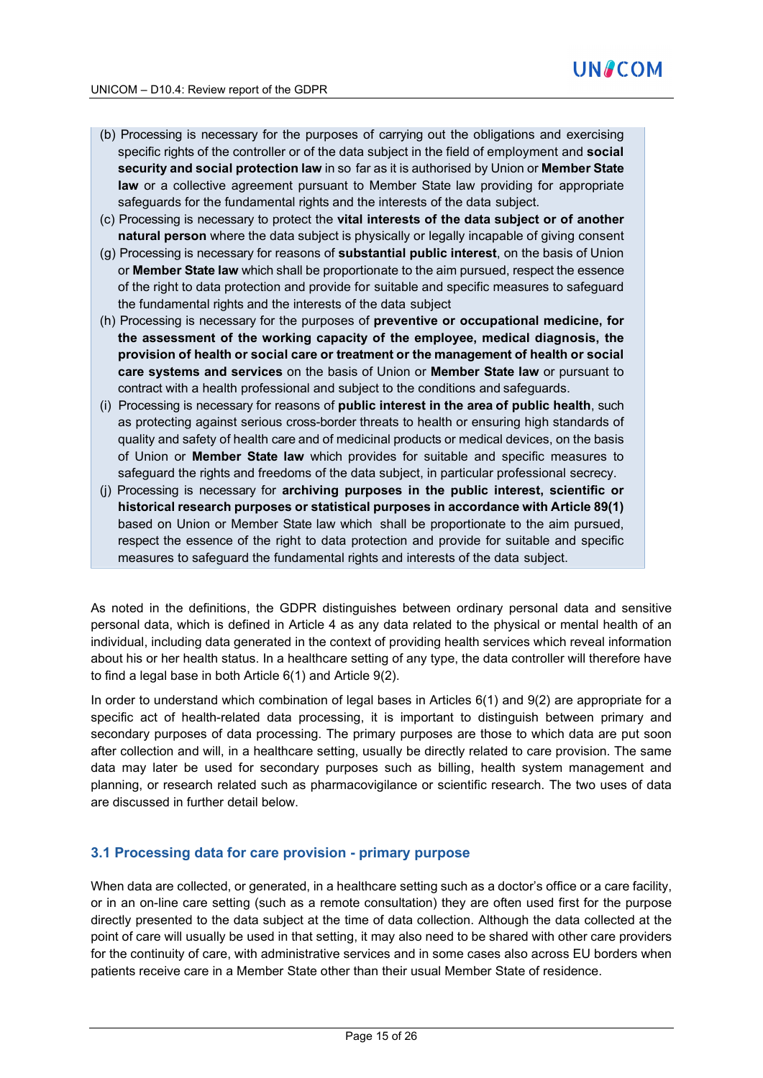- (b) Processing is necessary for the purposes of carrying out the obligations and exercising specific rights of the controller or of the data subject in the field of employment and **social security and social protection law** in so far as it is authorised by Union or **Member State law** or a collective agreement pursuant to Member State law providing for appropriate safeguards for the fundamental rights and the interests of the data subject.
- (c) Processing is necessary to protect the **vital interests of the data subject or of another natural person** where the data subject is physically or legally incapable of giving consent
- (g) Processing is necessary for reasons of **substantial public interest**, on the basis of Union or **Member State law** which shall be proportionate to the aim pursued, respect the essence of the right to data protection and provide for suitable and specific measures to safeguard the fundamental rights and the interests of the data subject
- (h) Processing is necessary for the purposes of **preventive or occupational medicine, for the assessment of the working capacity of the employee, medical diagnosis, the provision of health or social care or treatment or the management of health or social care systems and services** on the basis of Union or **Member State law** or pursuant to contract with a health professional and subject to the conditions and safeguards.
- (i) Processing is necessary for reasons of **public interest in the area of public health**, such as protecting against serious cross-border threats to health or ensuring high standards of quality and safety of health care and of medicinal products or medical devices, on the basis of Union or **Member State law** which provides for suitable and specific measures to safeguard the rights and freedoms of the data subject, in particular professional secrecy.
- (j) Processing is necessary for **archiving purposes in the public interest, scientific or historical research purposes or statistical purposes in accordance with Article 89(1)**  based on Union or Member State law which shall be proportionate to the aim pursued, respect the essence of the right to data protection and provide for suitable and specific measures to safeguard the fundamental rights and interests of the data subject.

As noted in the definitions, the GDPR distinguishes between ordinary personal data and sensitive personal data, which is defined in Article 4 as any data related to the physical or mental health of an individual, including data generated in the context of providing health services which reveal information about his or her health status. In a healthcare setting of any type, the data controller will therefore have to find a legal base in both Article 6(1) and Article 9(2).

In order to understand which combination of legal bases in Articles 6(1) and 9(2) are appropriate for a specific act of health-related data processing, it is important to distinguish between primary and secondary purposes of data processing. The primary purposes are those to which data are put soon after collection and will, in a healthcare setting, usually be directly related to care provision. The same data may later be used for secondary purposes such as billing, health system management and planning, or research related such as pharmacovigilance or scientific research. The two uses of data are discussed in further detail below.

#### **3.1 Processing data for care provision - primary purpose**

When data are collected, or generated, in a healthcare setting such as a doctor's office or a care facility, or in an on-line care setting (such as a remote consultation) they are often used first for the purpose directly presented to the data subject at the time of data collection. Although the data collected at the point of care will usually be used in that setting, it may also need to be shared with other care providers for the continuity of care, with administrative services and in some cases also across EU borders when patients receive care in a Member State other than their usual Member State of residence.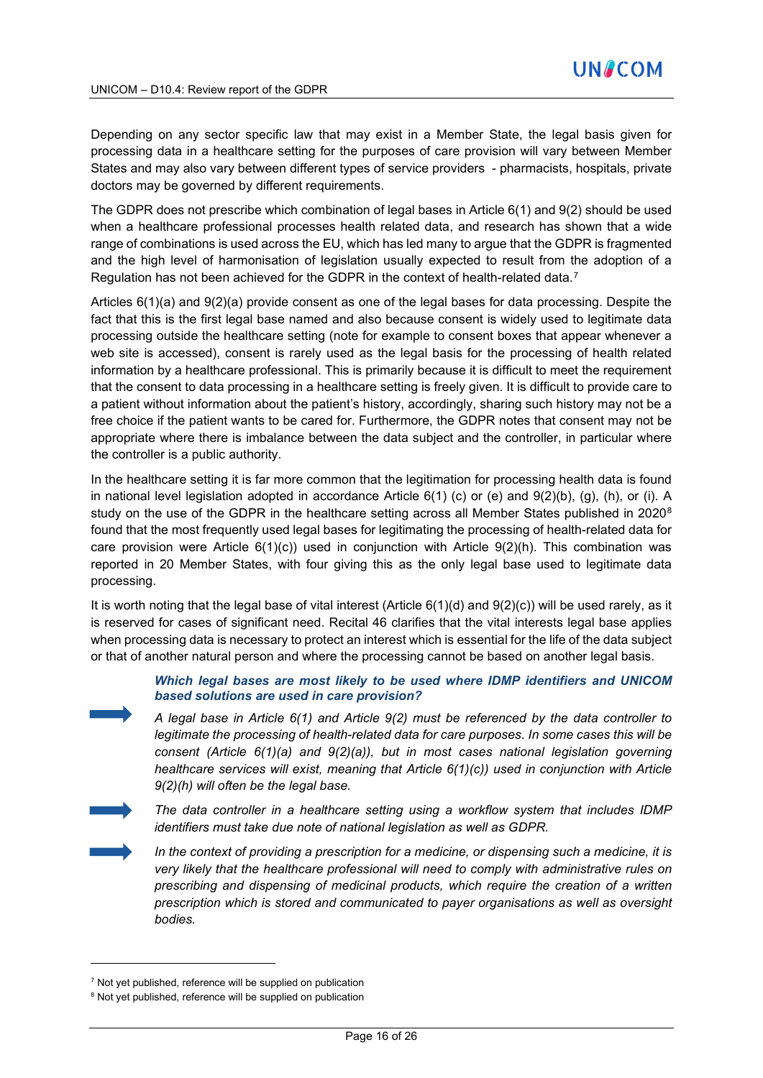Depending on any sector specific law that may exist in a Member State, the legal basis given for processing data in a healthcare setting for the purposes of care provision will vary between Member States and may also vary between different types of service providers - pharmacists, hospitals, private doctors may be governed by different requirements.

The GDPR does not prescribe which combination of legal bases in Article 6(1) and 9(2) should be used when a healthcare professional processes health related data, and research has shown that a wide range of combinations is used across the EU, which has led many to argue that the GDPR is fragmented and the high level of harmonisation of legislation usually expected to result from the adoption of a Regulation has not been achieved for the GDPR in the context of health-related data.<sup>[7](#page-15-0)</sup>

Articles 6(1)(a) and 9(2)(a) provide consent as one of the legal bases for data processing. Despite the fact that this is the first legal base named and also because consent is widely used to legitimate data processing outside the healthcare setting (note for example to consent boxes that appear whenever a web site is accessed), consent is rarely used as the legal basis for the processing of health related information by a healthcare professional. This is primarily because it is difficult to meet the requirement that the consent to data processing in a healthcare setting is freely given. It is difficult to provide care to a patient without information about the patient's history, accordingly, sharing such history may not be a free choice if the patient wants to be cared for. Furthermore, the GDPR notes that consent may not be appropriate where there is imbalance between the data subject and the controller, in particular where the controller is a public authority.

In the healthcare setting it is far more common that the legitimation for processing health data is found in national level legislation adopted in accordance Article 6(1) (c) or (e) and 9(2)(b), (g), (h), or (i). A study on the use of the GDPR in the healthcare setting across all Member States published in 2020<sup>[8](#page-15-1)</sup> found that the most frequently used legal bases for legitimating the processing of health-related data for care provision were Article  $6(1)(c)$ ) used in conjunction with Article  $9(2)(h)$ . This combination was reported in 20 Member States, with four giving this as the only legal base used to legitimate data processing.

It is worth noting that the legal base of vital interest (Article  $6(1)(d)$  and  $9(2)(c)$ ) will be used rarely, as it is reserved for cases of significant need. Recital 46 clarifies that the vital interests legal base applies when processing data is necessary to protect an interest which is essential for the life of the data subject or that of another natural person and where the processing cannot be based on another legal basis.

#### *Which legal bases are most likely to be used where IDMP identifiers and UNICOM based solutions are used in care provision?*

*A legal base in Article 6(1) and Article 9(2) must be referenced by the data controller to legitimate the processing of health-related data for care purposes. In some cases this will be consent (Article 6(1)(a) and 9(2)(a)), but in most cases national legislation governing healthcare services will exist, meaning that Article 6(1)(c)) used in conjunction with Article 9(2)(h) will often be the legal base.*

*The data controller in a healthcare setting using a workflow system that includes IDMP identifiers must take due note of national legislation as well as GDPR.*

*In the context of providing a prescription for a medicine, or dispensing such a medicine, it is very likely that the healthcare professional will need to comply with administrative rules on prescribing and dispensing of medicinal products, which require the creation of a written prescription which is stored and communicated to payer organisations as well as oversight bodies.*

<span id="page-15-0"></span> $7$  Not yet published, reference will be supplied on publication

<span id="page-15-1"></span><sup>&</sup>lt;sup>8</sup> Not yet published, reference will be supplied on publication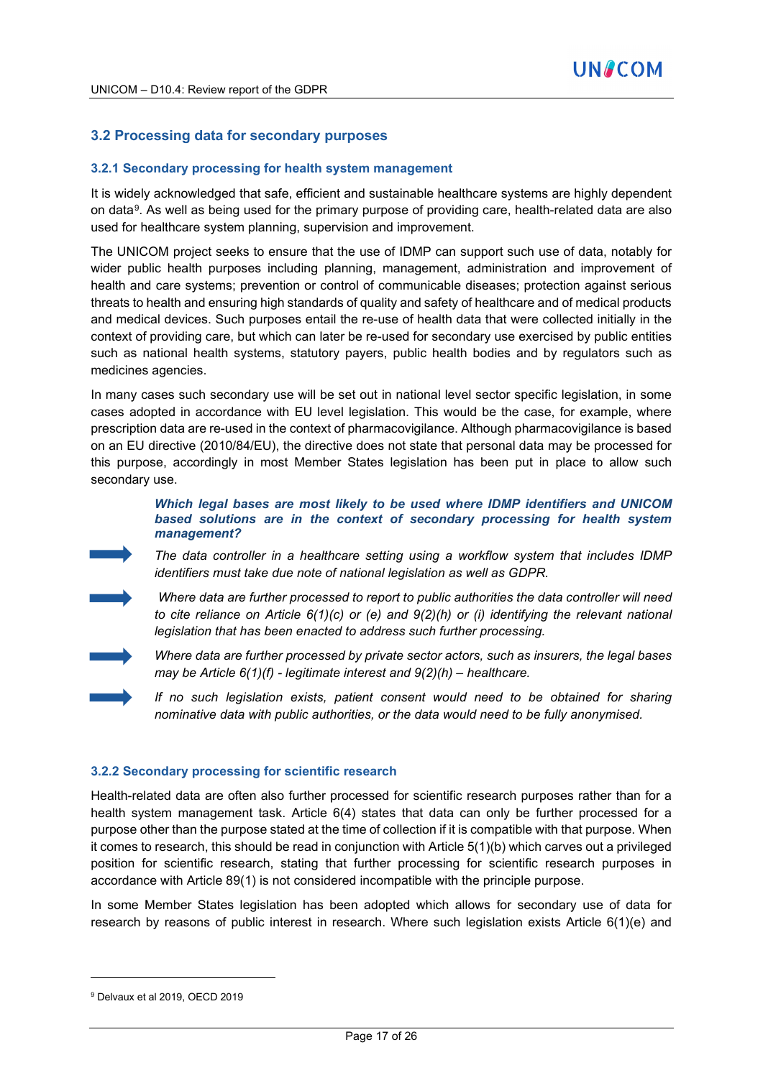#### **3.2 Processing data for secondary purposes**

#### **3.2.1 Secondary processing for health system management**

It is widely acknowledged that safe, efficient and sustainable healthcare systems are highly dependent on data<sup>9</sup>. As well as being used for the primary purpose of providing care, health-related data are also used for healthcare system planning, supervision and improvement.

The UNICOM project seeks to ensure that the use of IDMP can support such use of data, notably for wider public health purposes including planning, management, administration and improvement of health and care systems; prevention or control of communicable diseases; protection against serious threats to health and ensuring high standards of quality and safety of healthcare and of medical products and medical devices. Such purposes entail the re-use of health data that were collected initially in the context of providing care, but which can later be re-used for secondary use exercised by public entities such as national health systems, statutory payers, public health bodies and by regulators such as medicines agencies.

In many cases such secondary use will be set out in national level sector specific legislation, in some cases adopted in accordance with EU level legislation. This would be the case, for example, where prescription data are re-used in the context of pharmacovigilance. Although pharmacovigilance is based on an EU directive (2010/84/EU), the directive does not state that personal data may be processed for this purpose, accordingly in most Member States legislation has been put in place to allow such secondary use.

#### *Which legal bases are most likely to be used where IDMP identifiers and UNICOM based solutions are in the context of secondary processing for health system management?*

*The data controller in a healthcare setting using a workflow system that includes IDMP identifiers must take due note of national legislation as well as GDPR.*

- *Where data are further processed to report to public authorities the data controller will need to cite reliance on Article 6(1)(c) or (e) and 9(2)(h) or (i) identifying the relevant national legislation that has been enacted to address such further processing.*
- *Where data are further processed by private sector actors, such as insurers, the legal bases may be Article 6(1)(f) - legitimate interest and 9(2)(h) – healthcare.*
- *If no such legislation exists, patient consent would need to be obtained for sharing nominative data with public authorities, or the data would need to be fully anonymised.*

#### **3.2.2 Secondary processing for scientific research**

Health-related data are often also further processed for scientific research purposes rather than for a health system management task. Article 6(4) states that data can only be further processed for a purpose other than the purpose stated at the time of collection if it is compatible with that purpose. When it comes to research, this should be read in conjunction with Article 5(1)(b) which carves out a privileged position for scientific research, stating that further processing for scientific research purposes in accordance with Article 89(1) is not considered incompatible with the principle purpose.

In some Member States legislation has been adopted which allows for secondary use of data for research by reasons of public interest in research. Where such legislation exists Article 6(1)(e) and

<span id="page-16-0"></span><sup>9</sup> Delvaux et al 2019, OECD 2019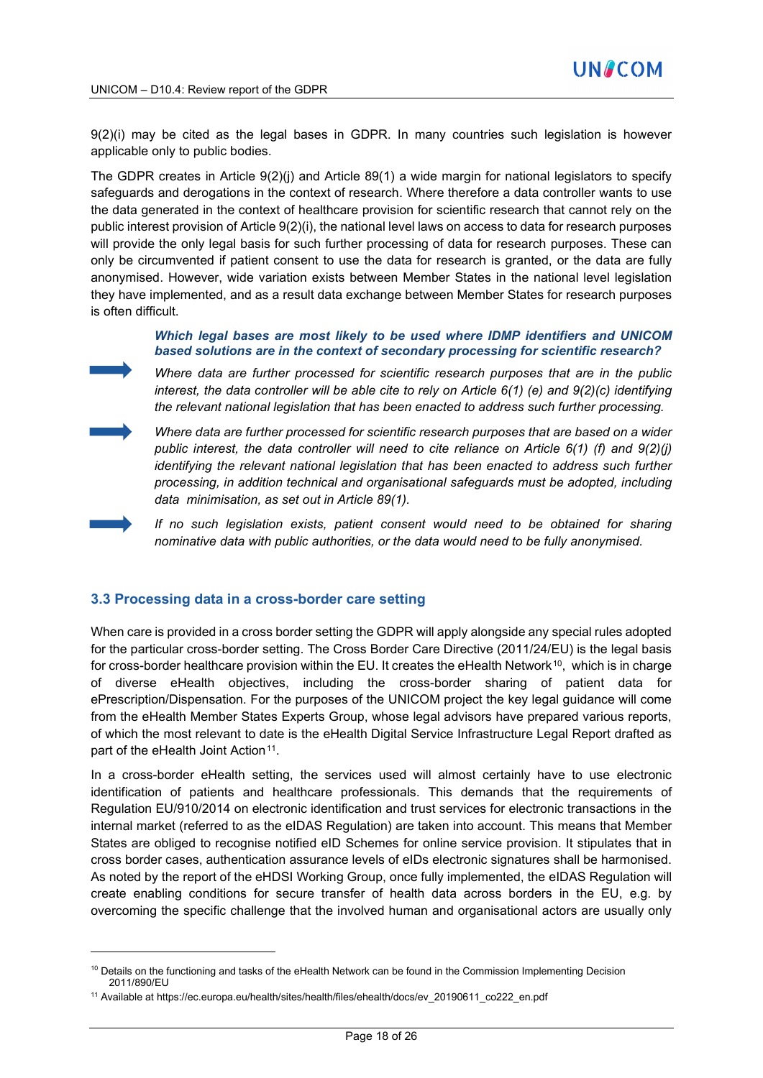9(2)(i) may be cited as the legal bases in GDPR. In many countries such legislation is however applicable only to public bodies.

The GDPR creates in Article 9(2)(j) and Article 89(1) a wide margin for national legislators to specify safeguards and derogations in the context of research. Where therefore a data controller wants to use the data generated in the context of healthcare provision for scientific research that cannot rely on the public interest provision of Article 9(2)(i), the national level laws on access to data for research purposes will provide the only legal basis for such further processing of data for research purposes. These can only be circumvented if patient consent to use the data for research is granted, or the data are fully anonymised. However, wide variation exists between Member States in the national level legislation they have implemented, and as a result data exchange between Member States for research purposes is often difficult.

> *Which legal bases are most likely to be used where IDMP identifiers and UNICOM based solutions are in the context of secondary processing for scientific research?*

*Where data are further processed for scientific research purposes that are in the public interest, the data controller will be able cite to rely on Article 6(1) (e) and 9(2)(c) identifying the relevant national legislation that has been enacted to address such further processing.*

*Where data are further processed for scientific research purposes that are based on a wider public interest, the data controller will need to cite reliance on Article 6(1) (f) and 9(2)(j) identifying the relevant national legislation that has been enacted to address such further processing, in addition technical and organisational safeguards must be adopted, including data minimisation, as set out in Article 89(1).*

*If no such legislation exists, patient consent would need to be obtained for sharing nominative data with public authorities, or the data would need to be fully anonymised.*

#### **3.3 Processing data in a cross-border care setting**

When care is provided in a cross border setting the GDPR will apply alongside any special rules adopted for the particular cross-border setting. The Cross Border Care Directive (2011/24/EU) is the legal basis for cross-border healthcare provision within the EU. It creates the eHealth Network<sup>10</sup>, which is in charge of diverse eHealth objectives, including the cross-border sharing of patient data for ePrescription/Dispensation. For the purposes of the UNICOM project the key legal guidance will come from the eHealth Member States Experts Group, whose legal advisors have prepared various reports, of which the most relevant to date is the eHealth Digital Service Infrastructure Legal Report drafted as part of the eHealth Joint Action<sup>[11](#page-17-1)</sup>.

In a cross-border eHealth setting, the services used will almost certainly have to use electronic identification of patients and healthcare professionals. This demands that the requirements of Regulation EU/910/2014 on electronic identification and trust services for electronic transactions in the internal market (referred to as the eIDAS Regulation) are taken into account. This means that Member States are obliged to recognise notified eID Schemes for online service provision. It stipulates that in cross border cases, authentication assurance levels of eIDs electronic signatures shall be harmonised. As noted by the report of the eHDSI Working Group, once fully implemented, the eIDAS Regulation will create enabling conditions for secure transfer of health data across borders in the EU, e.g. by overcoming the specific challenge that the involved human and organisational actors are usually only

<span id="page-17-0"></span> $10$  Details on the functioning and tasks of the eHealth Network can be found in the Commission Implementing Decision 2011/890/EU

<span id="page-17-1"></span><sup>11</sup> Available at https://ec.europa.eu/health/sites/health/files/ehealth/docs/ev\_20190611\_co222\_en.pdf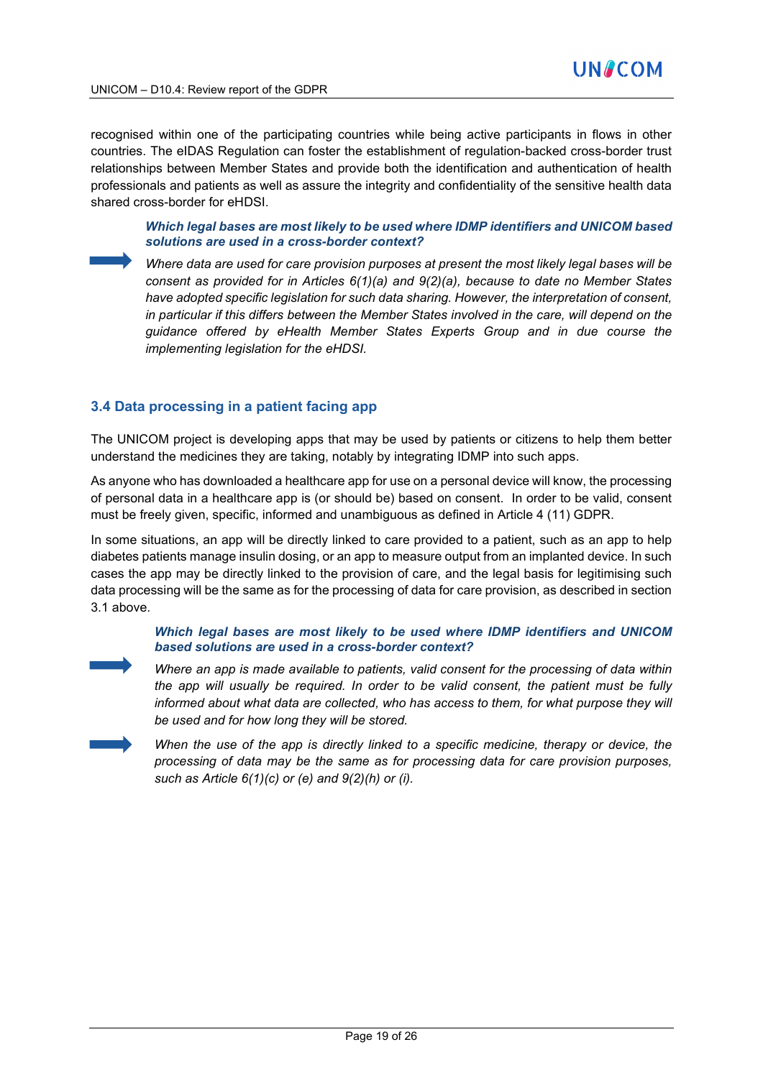recognised within one of the participating countries while being active participants in flows in other countries. The eIDAS Regulation can foster the establishment of regulation-backed cross-border trust relationships between Member States and provide both the identification and authentication of health professionals and patients as well as assure the integrity and confidentiality of the sensitive health data shared cross-border for eHDSI.

*Which legal bases are most likely to be used where IDMP identifiers and UNICOM based solutions are used in a cross-border context?*

*Where data are used for care provision purposes at present the most likely legal bases will be consent as provided for in Articles 6(1)(a) and 9(2)(a), because to date no Member States have adopted specific legislation for such data sharing. However, the interpretation of consent, in particular if this differs between the Member States involved in the care, will depend on the guidance offered by eHealth Member States Experts Group and in due course the implementing legislation for the eHDSI.*

#### **3.4 Data processing in a patient facing app**

The UNICOM project is developing apps that may be used by patients or citizens to help them better understand the medicines they are taking, notably by integrating IDMP into such apps.

As anyone who has downloaded a healthcare app for use on a personal device will know, the processing of personal data in a healthcare app is (or should be) based on consent. In order to be valid, consent must be freely given, specific, informed and unambiguous as defined in Article 4 (11) GDPR.

In some situations, an app will be directly linked to care provided to a patient, such as an app to help diabetes patients manage insulin dosing, or an app to measure output from an implanted device. In such cases the app may be directly linked to the provision of care, and the legal basis for legitimising such data processing will be the same as for the processing of data for care provision, as described in section 3.1 above.

> *Which legal bases are most likely to be used where IDMP identifiers and UNICOM based solutions are used in a cross-border context?*

> *Where an app is made available to patients, valid consent for the processing of data within the app will usually be required. In order to be valid consent, the patient must be fully informed about what data are collected, who has access to them, for what purpose they will be used and for how long they will be stored.*

> *When the use of the app is directly linked to a specific medicine, therapy or device, the processing of data may be the same as for processing data for care provision purposes, such as Article 6(1)(c) or (e) and 9(2)(h) or (i).*



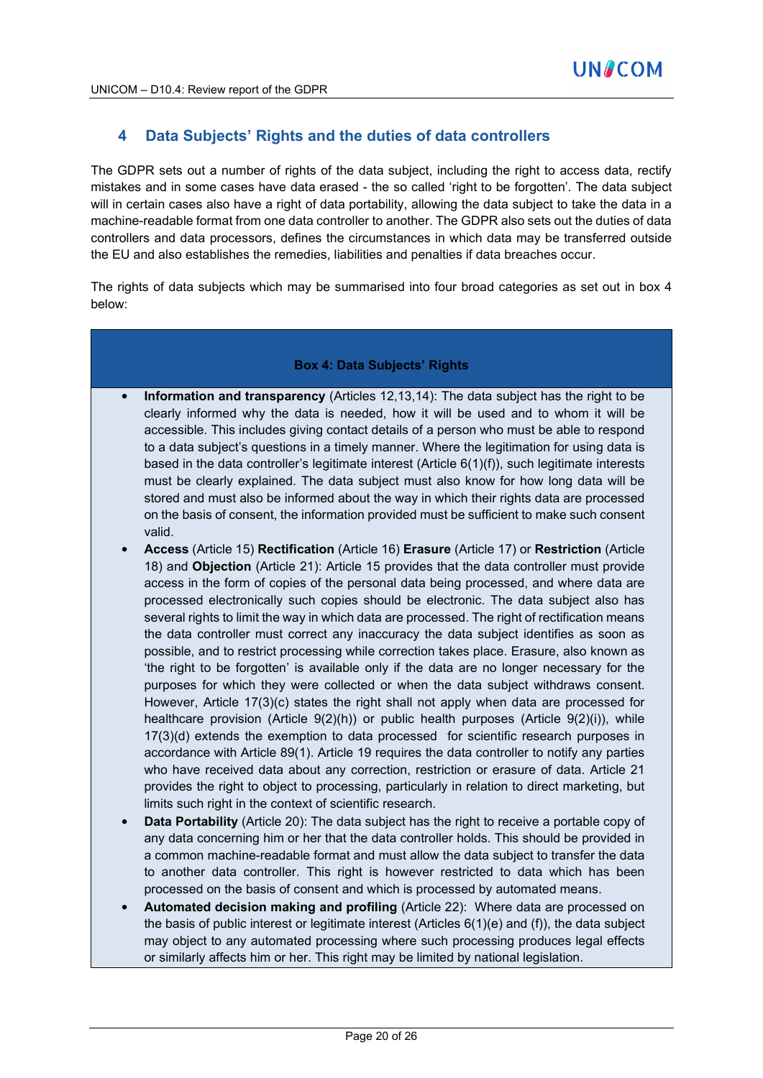### **4 Data Subjects' Rights and the duties of data controllers**

The GDPR sets out a number of rights of the data subject, including the right to access data, rectify mistakes and in some cases have data erased - the so called 'right to be forgotten'. The data subject will in certain cases also have a right of data portability, allowing the data subject to take the data in a machine-readable format from one data controller to another. The GDPR also sets out the duties of data controllers and data processors, defines the circumstances in which data may be transferred outside the EU and also establishes the remedies, liabilities and penalties if data breaches occur.

The rights of data subjects which may be summarised into four broad categories as set out in box 4 below:

#### **Box 4: Data Subjects' Rights**

- **Information and transparency** (Articles 12,13,14): The data subject has the right to be clearly informed why the data is needed, how it will be used and to whom it will be accessible. This includes giving contact details of a person who must be able to respond to a data subject's questions in a timely manner. Where the legitimation for using data is based in the data controller's legitimate interest (Article 6(1)(f)), such legitimate interests must be clearly explained. The data subject must also know for how long data will be stored and must also be informed about the way in which their rights data are processed on the basis of consent, the information provided must be sufficient to make such consent valid.
- **Access** (Article 15) **Rectification** (Article 16) **Erasure** (Article 17) or **Restriction** (Article 18) and **Objection** (Article 21): Article 15 provides that the data controller must provide access in the form of copies of the personal data being processed, and where data are processed electronically such copies should be electronic. The data subject also has several rights to limit the way in which data are processed. The right of rectification means the data controller must correct any inaccuracy the data subject identifies as soon as possible, and to restrict processing while correction takes place. Erasure, also known as 'the right to be forgotten' is available only if the data are no longer necessary for the purposes for which they were collected or when the data subject withdraws consent. However, Article 17(3)(c) states the right shall not apply when data are processed for healthcare provision (Article  $9(2)(h)$ ) or public health purposes (Article  $9(2)(i)$ ), while 17(3)(d) extends the exemption to data processed for scientific research purposes in accordance with Article 89(1). Article 19 requires the data controller to notify any parties who have received data about any correction, restriction or erasure of data. Article 21 provides the right to object to processing, particularly in relation to direct marketing, but limits such right in the context of scientific research.
- **Data Portability** (Article 20): The data subject has the right to receive a portable copy of any data concerning him or her that the data controller holds. This should be provided in a common machine-readable format and must allow the data subject to transfer the data to another data controller. This right is however restricted to data which has been processed on the basis of consent and which is processed by automated means.
- **Automated decision making and profiling** (Article 22): Where data are processed on the basis of public interest or legitimate interest (Articles 6(1)(e) and (f)), the data subject may object to any automated processing where such processing produces legal effects or similarly affects him or her. This right may be limited by national legislation.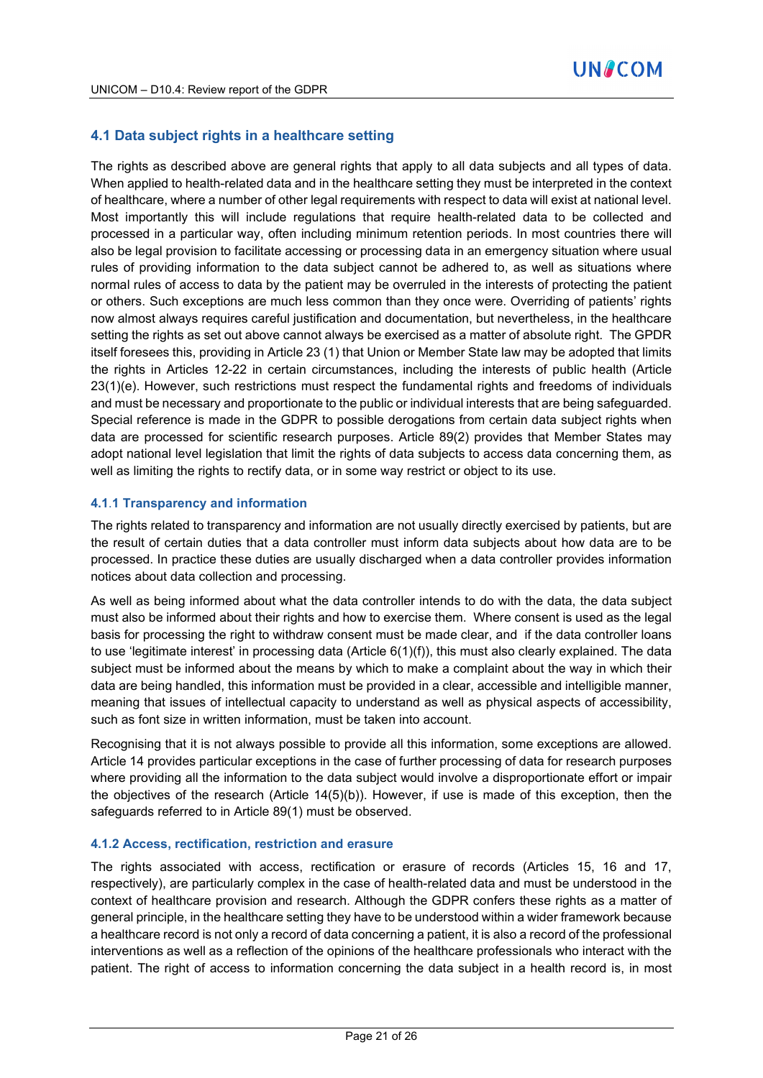#### **4.1 Data subject rights in a healthcare setting**

The rights as described above are general rights that apply to all data subjects and all types of data. When applied to health-related data and in the healthcare setting they must be interpreted in the context of healthcare, where a number of other legal requirements with respect to data will exist at national level. Most importantly this will include regulations that require health-related data to be collected and processed in a particular way, often including minimum retention periods. In most countries there will also be legal provision to facilitate accessing or processing data in an emergency situation where usual rules of providing information to the data subject cannot be adhered to, as well as situations where normal rules of access to data by the patient may be overruled in the interests of protecting the patient or others. Such exceptions are much less common than they once were. Overriding of patients' rights now almost always requires careful justification and documentation, but nevertheless, in the healthcare setting the rights as set out above cannot always be exercised as a matter of absolute right. The GPDR itself foresees this, providing in Article 23 (1) that Union or Member State law may be adopted that limits the rights in Articles 12-22 in certain circumstances, including the interests of public health (Article 23(1)(e). However, such restrictions must respect the fundamental rights and freedoms of individuals and must be necessary and proportionate to the public or individual interests that are being safeguarded. Special reference is made in the GDPR to possible derogations from certain data subject rights when data are processed for scientific research purposes. Article 89(2) provides that Member States may adopt national level legislation that limit the rights of data subjects to access data concerning them, as well as limiting the rights to rectify data, or in some way restrict or object to its use.

#### **4.1**.**1 Transparency and information**

The rights related to transparency and information are not usually directly exercised by patients, but are the result of certain duties that a data controller must inform data subjects about how data are to be processed. In practice these duties are usually discharged when a data controller provides information notices about data collection and processing.

As well as being informed about what the data controller intends to do with the data, the data subject must also be informed about their rights and how to exercise them. Where consent is used as the legal basis for processing the right to withdraw consent must be made clear, and if the data controller loans to use 'legitimate interest' in processing data (Article 6(1)(f)), this must also clearly explained. The data subject must be informed about the means by which to make a complaint about the way in which their data are being handled, this information must be provided in a clear, accessible and intelligible manner, meaning that issues of intellectual capacity to understand as well as physical aspects of accessibility, such as font size in written information, must be taken into account.

Recognising that it is not always possible to provide all this information, some exceptions are allowed. Article 14 provides particular exceptions in the case of further processing of data for research purposes where providing all the information to the data subject would involve a disproportionate effort or impair the objectives of the research (Article 14(5)(b)). However, if use is made of this exception, then the safeguards referred to in Article 89(1) must be observed.

#### **4.1.2 Access, rectification, restriction and erasure**

The rights associated with access, rectification or erasure of records (Articles 15, 16 and 17, respectively), are particularly complex in the case of health-related data and must be understood in the context of healthcare provision and research. Although the GDPR confers these rights as a matter of general principle, in the healthcare setting they have to be understood within a wider framework because a healthcare record is not only a record of data concerning a patient, it is also a record of the professional interventions as well as a reflection of the opinions of the healthcare professionals who interact with the patient. The right of access to information concerning the data subject in a health record is, in most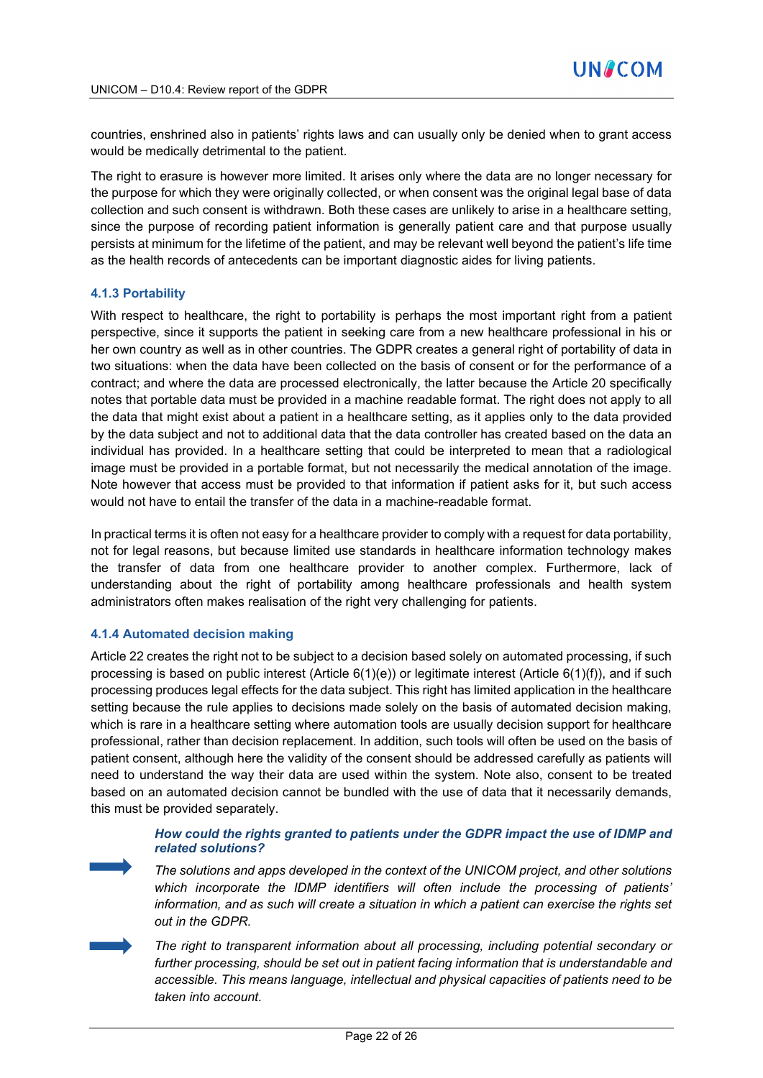countries, enshrined also in patients' rights laws and can usually only be denied when to grant access would be medically detrimental to the patient.

The right to erasure is however more limited. It arises only where the data are no longer necessary for the purpose for which they were originally collected, or when consent was the original legal base of data collection and such consent is withdrawn. Both these cases are unlikely to arise in a healthcare setting, since the purpose of recording patient information is generally patient care and that purpose usually persists at minimum for the lifetime of the patient, and may be relevant well beyond the patient's life time as the health records of antecedents can be important diagnostic aides for living patients.

#### **4.1.3 Portability**

With respect to healthcare, the right to portability is perhaps the most important right from a patient perspective, since it supports the patient in seeking care from a new healthcare professional in his or her own country as well as in other countries. The GDPR creates a general right of portability of data in two situations: when the data have been collected on the basis of consent or for the performance of a contract; and where the data are processed electronically, the latter because the Article 20 specifically notes that portable data must be provided in a machine readable format. The right does not apply to all the data that might exist about a patient in a healthcare setting, as it applies only to the data provided by the data subject and not to additional data that the data controller has created based on the data an individual has provided. In a healthcare setting that could be interpreted to mean that a radiological image must be provided in a portable format, but not necessarily the medical annotation of the image. Note however that access must be provided to that information if patient asks for it, but such access would not have to entail the transfer of the data in a machine-readable format.

In practical terms it is often not easy for a healthcare provider to comply with a request for data portability, not for legal reasons, but because limited use standards in healthcare information technology makes the transfer of data from one healthcare provider to another complex. Furthermore, lack of understanding about the right of portability among healthcare professionals and health system administrators often makes realisation of the right very challenging for patients.

#### **4.1.4 Automated decision making**

Article 22 creates the right not to be subject to a decision based solely on automated processing, if such processing is based on public interest (Article 6(1)(e)) or legitimate interest (Article 6(1)(f)), and if such processing produces legal effects for the data subject. This right has limited application in the healthcare setting because the rule applies to decisions made solely on the basis of automated decision making, which is rare in a healthcare setting where automation tools are usually decision support for healthcare professional, rather than decision replacement. In addition, such tools will often be used on the basis of patient consent, although here the validity of the consent should be addressed carefully as patients will need to understand the way their data are used within the system. Note also, consent to be treated based on an automated decision cannot be bundled with the use of data that it necessarily demands, this must be provided separately.

> *How could the rights granted to patients under the GDPR impact the use of IDMP and related solutions?*

*The solutions and apps developed in the context of the UNICOM project, and other solutions which incorporate the IDMP identifiers will often include the processing of patients' information, and as such will create a situation in which a patient can exercise the rights set out in the GDPR.*

*The right to transparent information about all processing, including potential secondary or*  further processing, should be set out in patient facing information that is understandable and *accessible. This means language, intellectual and physical capacities of patients need to be taken into account.*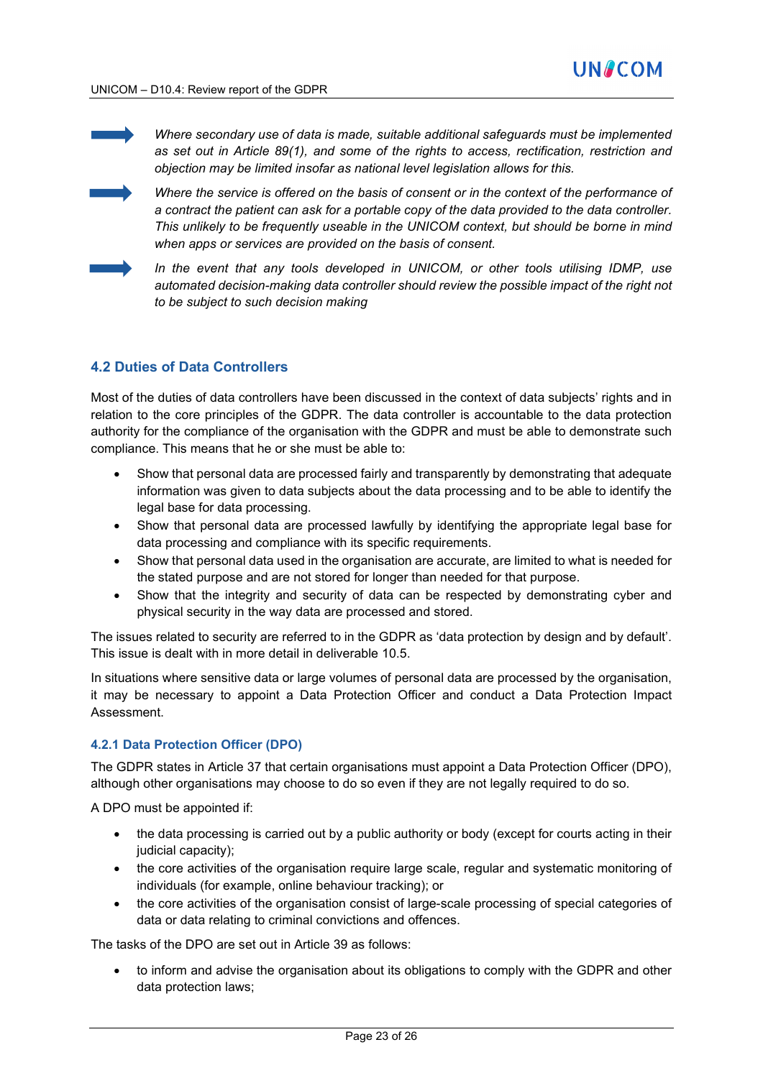*Where secondary use of data is made, suitable additional safeguards must be implemented as set out in Article 89(1), and some of the rights to access, rectification, restriction and objection may be limited insofar as national level legislation allows for this.*

*Where the service is offered on the basis of consent or in the context of the performance of a contract the patient can ask for a portable copy of the data provided to the data controller. This unlikely to be frequently useable in the UNICOM context, but should be borne in mind when apps or services are provided on the basis of consent.*



*In the event that any tools developed in UNICOM, or other tools utilising IDMP, use automated decision-making data controller should review the possible impact of the right not to be subject to such decision making*

#### **4.2 Duties of Data Controllers**

Most of the duties of data controllers have been discussed in the context of data subjects' rights and in relation to the core principles of the GDPR. The data controller is accountable to the data protection authority for the compliance of the organisation with the GDPR and must be able to demonstrate such compliance. This means that he or she must be able to:

- Show that personal data are processed fairly and transparently by demonstrating that adequate information was given to data subjects about the data processing and to be able to identify the legal base for data processing.
- Show that personal data are processed lawfully by identifying the appropriate legal base for data processing and compliance with its specific requirements.
- Show that personal data used in the organisation are accurate, are limited to what is needed for the stated purpose and are not stored for longer than needed for that purpose.
- Show that the integrity and security of data can be respected by demonstrating cyber and physical security in the way data are processed and stored.

The issues related to security are referred to in the GDPR as 'data protection by design and by default'. This issue is dealt with in more detail in deliverable 10.5.

In situations where sensitive data or large volumes of personal data are processed by the organisation, it may be necessary to appoint a Data Protection Officer and conduct a Data Protection Impact Assessment.

#### **4.2.1 Data Protection Officer (DPO)**

The GDPR states in Article 37 that certain organisations must appoint a Data Protection Officer (DPO), although other organisations may choose to do so even if they are not legally required to do so.

A DPO must be appointed if:

- the data processing is carried out by a public authority or body (except for courts acting in their judicial capacity);
- the core activities of the organisation require large scale, regular and systematic monitoring of individuals (for example, online behaviour tracking); or
- the core activities of the organisation consist of large-scale processing of special categories of data or data relating to criminal convictions and offences.

The tasks of the DPO are set out in Article 39 as follows:

• to inform and advise the organisation about its obligations to comply with the GDPR and other data protection laws;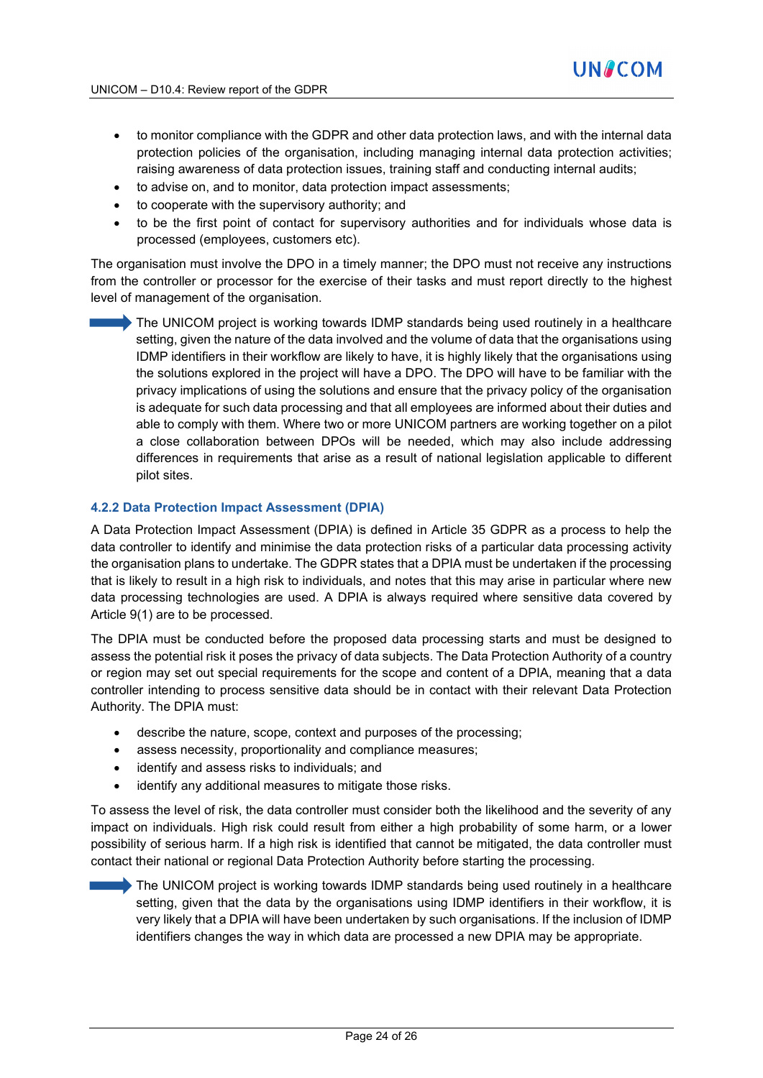- to monitor compliance with the GDPR and other data protection laws, and with the internal data protection policies of the organisation, including managing internal data protection activities; raising awareness of data protection issues, training staff and conducting internal audits;
- to advise on, and to monitor, [data protection impact assessments;](https://ico.org.uk/for-organisations/guide-to-the-general-data-protection-regulation-gdpr/accountability-and-governance/data-protection-impact-assessments/)
- to cooperate with the supervisory authority; and
- to be the first point of contact for supervisory authorities and for individuals whose data is processed (employees, customers etc).

The organisation must involve the DPO in a timely manner; the DPO must not receive any instructions from the controller or processor for the exercise of their tasks and must report directly to the highest level of management of the organisation.

The UNICOM project is working towards IDMP standards being used routinely in a healthcare setting, given the nature of the data involved and the volume of data that the organisations using IDMP identifiers in their workflow are likely to have, it is highly likely that the organisations using the solutions explored in the project will have a DPO. The DPO will have to be familiar with the privacy implications of using the solutions and ensure that the privacy policy of the organisation is adequate for such data processing and that all employees are informed about their duties and able to comply with them. Where two or more UNICOM partners are working together on a pilot a close collaboration between DPOs will be needed, which may also include addressing differences in requirements that arise as a result of national legislation applicable to different pilot sites.

#### **4.2.2 Data Protection Impact Assessment (DPIA)**

A Data Protection Impact Assessment (DPIA) is defined in Article 35 GDPR as a process to help the data controller to identify and minimise the data protection risks of a particular data processing activity the organisation plans to undertake. The GDPR states that a DPIA must be undertaken if the processing that is likely to result in a high risk to individuals, and notes that this may arise in particular where new data processing technologies are used. A DPIA is always required where sensitive data covered by Article 9(1) are to be processed.

The DPIA must be conducted before the proposed data processing starts and must be designed to assess the potential risk it poses the privacy of data subjects. The Data Protection Authority of a country or region may set out special requirements for the scope and content of a DPIA, meaning that a data controller intending to process sensitive data should be in contact with their relevant Data Protection Authority. The DPIA must:

- describe the nature, scope, context and purposes of the processing;
- assess necessity, proportionality and compliance measures;
- identify and assess risks to individuals; and
- identify any additional measures to mitigate those risks.

To assess the level of risk, the data controller must consider both the likelihood and the severity of any impact on individuals. High risk could result from either a high probability of some harm, or a lower possibility of serious harm. If a high risk is identified that cannot be mitigated, the data controller must contact their national or regional Data Protection Authority before starting the processing.

The UNICOM project is working towards IDMP standards being used routinely in a healthcare setting, given that the data by the organisations using IDMP identifiers in their workflow, it is very likely that a DPIA will have been undertaken by such organisations. If the inclusion of IDMP identifiers changes the way in which data are processed a new DPIA may be appropriate.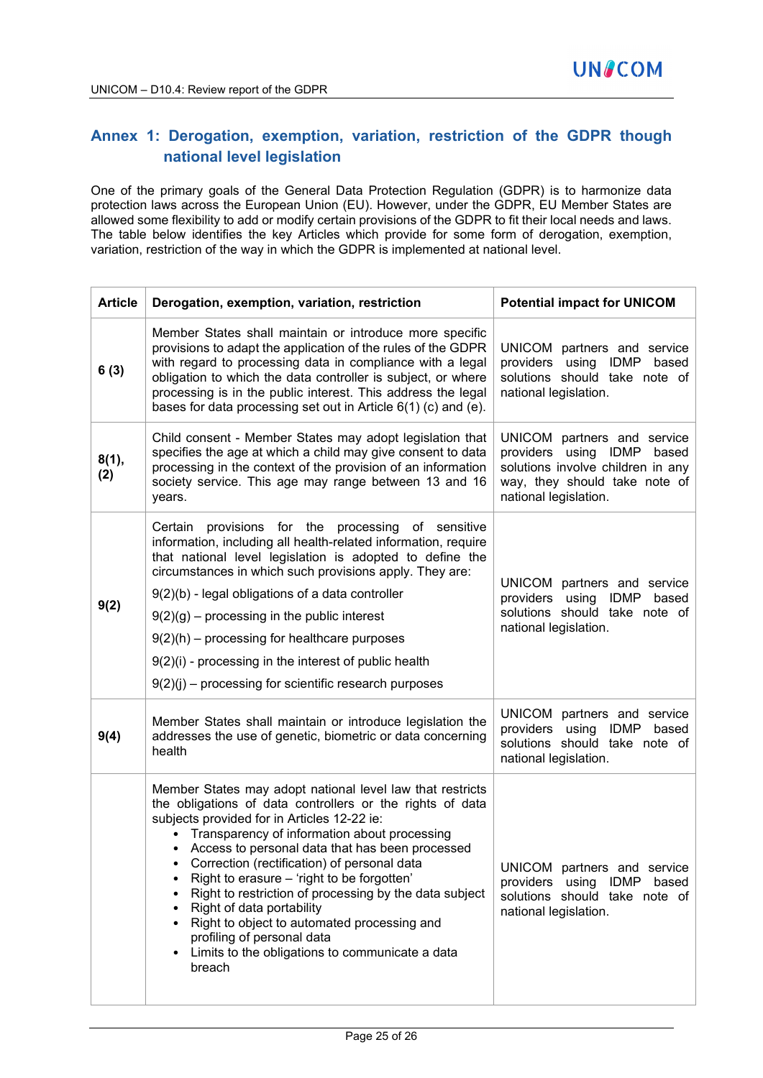## **Annex 1: Derogation, exemption, variation, restriction of the GDPR though national level legislation**

One of the primary goals of the General Data Protection Regulation (GDPR) is to harmonize data protection laws across the European Union (EU). However, under the GDPR, EU Member States are allowed some flexibility to add or modify certain provisions of the GDPR to fit their local needs and laws. The table below identifies the key Articles which provide for some form of derogation, exemption, variation, restriction of the way in which the GDPR is implemented at national level.

| <b>Article</b> | Derogation, exemption, variation, restriction                                                                                                                                                                                                                                                                                                                                                                                                                                                                                                                                                                                                        | <b>Potential impact for UNICOM</b>                                                                                                                       |  |
|----------------|------------------------------------------------------------------------------------------------------------------------------------------------------------------------------------------------------------------------------------------------------------------------------------------------------------------------------------------------------------------------------------------------------------------------------------------------------------------------------------------------------------------------------------------------------------------------------------------------------------------------------------------------------|----------------------------------------------------------------------------------------------------------------------------------------------------------|--|
| 6(3)           | Member States shall maintain or introduce more specific<br>provisions to adapt the application of the rules of the GDPR<br>with regard to processing data in compliance with a legal<br>obligation to which the data controller is subject, or where<br>processing is in the public interest. This address the legal<br>bases for data processing set out in Article 6(1) (c) and (e).                                                                                                                                                                                                                                                               | UNICOM partners and service<br>providers using IDMP<br>based<br>solutions should take note of<br>national legislation.                                   |  |
| 8(1),<br>(2)   | Child consent - Member States may adopt legislation that<br>specifies the age at which a child may give consent to data<br>processing in the context of the provision of an information<br>society service. This age may range between 13 and 16<br>years.                                                                                                                                                                                                                                                                                                                                                                                           | UNICOM partners and service<br>providers using IDMP based<br>solutions involve children in any<br>way, they should take note of<br>national legislation. |  |
| 9(2)           | Certain provisions for the processing of sensitive<br>information, including all health-related information, require<br>that national level legislation is adopted to define the<br>circumstances in which such provisions apply. They are:<br>$9(2)(b)$ - legal obligations of a data controller<br>$9(2)(g)$ – processing in the public interest<br>$9(2)(h)$ – processing for healthcare purposes<br>9(2)(i) - processing in the interest of public health<br>$9(2)(j)$ – processing for scientific research purposes                                                                                                                             | UNICOM partners and service<br>providers using IDMP<br>based<br>solutions should take note of<br>national legislation.                                   |  |
| 9(4)           | Member States shall maintain or introduce legislation the<br>addresses the use of genetic, biometric or data concerning<br>health                                                                                                                                                                                                                                                                                                                                                                                                                                                                                                                    | UNICOM partners and service<br>providers using IDMP<br>based<br>solutions should take note of<br>national legislation.                                   |  |
|                | Member States may adopt national level law that restricts<br>the obligations of data controllers or the rights of data<br>subjects provided for in Articles 12-22 ie:<br>Transparency of information about processing<br>Access to personal data that has been processed<br>• Correction (rectification) of personal data<br>Right to erasure - 'right to be forgotten'<br>$\bullet$<br>Right to restriction of processing by the data subject<br>Right of data portability<br>$\bullet$<br>Right to object to automated processing and<br>٠<br>profiling of personal data<br>Limits to the obligations to communicate a data<br>$\bullet$<br>breach | UNICOM partners and service<br>providers using IDMP based<br>solutions should take note of<br>national legislation.                                      |  |